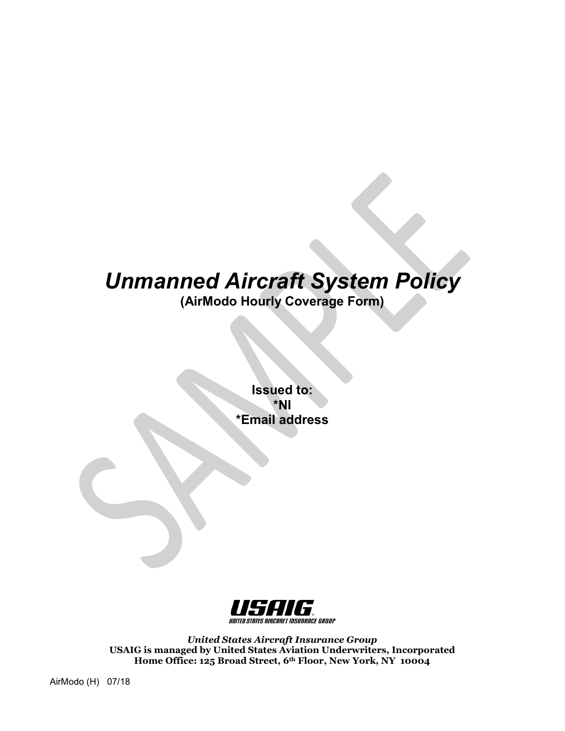# *Unmanned Aircraft System Policy*

**(AirModo Hourly Coverage Form)**

**Issued to: \*NI \*Email address**



*United States Aircraft Insurance Group* **USAIG is managed by United States Aviation Underwriters, Incorporated Home Office: 125 Broad Street, 6th Floor, New York, NY 10004**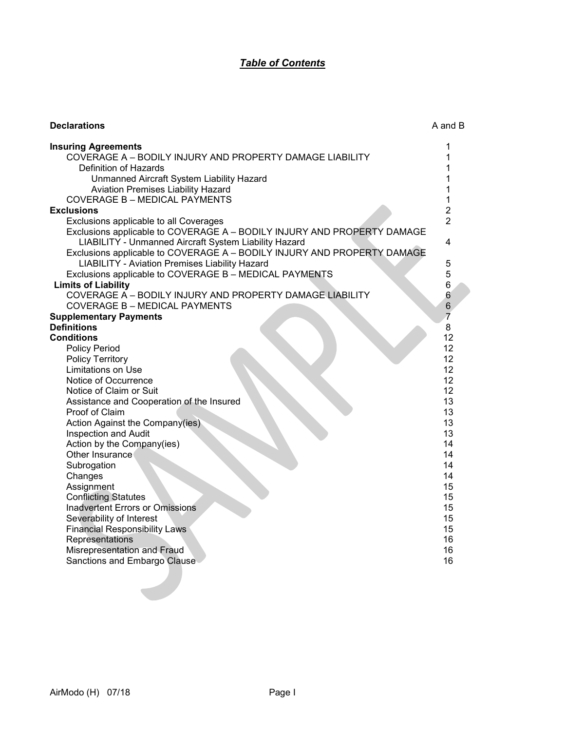# *Table of Contents*

| <b>Declarations</b>                                                     | A and B        |
|-------------------------------------------------------------------------|----------------|
| <b>Insuring Agreements</b>                                              | 1              |
| COVERAGE A - BODILY INJURY AND PROPERTY DAMAGE LIABILITY                | 1              |
| Definition of Hazards                                                   |                |
| Unmanned Aircraft System Liability Hazard                               |                |
| Aviation Premises Liability Hazard                                      |                |
| <b>COVERAGE B - MEDICAL PAYMENTS</b>                                    | 1              |
| <b>Exclusions</b>                                                       | $\overline{2}$ |
| Exclusions applicable to all Coverages                                  | $\overline{2}$ |
| Exclusions applicable to COVERAGE A - BODILY INJURY AND PROPERTY DAMAGE |                |
| LIABILITY - Unmanned Aircraft System Liability Hazard                   | 4              |
| Exclusions applicable to COVERAGE A - BODILY INJURY AND PROPERTY DAMAGE |                |
| <b>LIABILITY - Aviation Premises Liability Hazard</b>                   | 5              |
| Exclusions applicable to COVERAGE B - MEDICAL PAYMENTS                  | 5              |
| <b>Limits of Liability</b>                                              | 6              |
| COVERAGE A - BODILY INJURY AND PROPERTY DAMAGE LIABILITY                | 6              |
| <b>COVERAGE B - MEDICAL PAYMENTS</b>                                    | $\,6$          |
| <b>Supplementary Payments</b>                                           |                |
| <b>Definitions</b>                                                      | 8              |
| <b>Conditions</b>                                                       | 12             |
| <b>Policy Period</b>                                                    | 12             |
| <b>Policy Territory</b>                                                 | 12             |
| <b>Limitations on Use</b>                                               | 12             |
| Notice of Occurrence                                                    | 12             |
| Notice of Claim or Suit                                                 | 12             |
| Assistance and Cooperation of the Insured                               | 13             |
| Proof of Claim                                                          | 13             |
| Action Against the Company(ies)                                         | 13<br>13       |
| Inspection and Audit<br>Action by the Company(ies)                      | 14             |
| Other Insurance                                                         | 14             |
| Subrogation                                                             | 14             |
| Changes                                                                 | 14             |
| Assignment                                                              | 15             |
| <b>Conflicting Statutes</b>                                             | 15             |
| Inadvertent Errors or Omissions                                         | 15             |
| Severability of Interest                                                | 15             |
| <b>Financial Responsibility Laws</b>                                    | 15             |
| Representations                                                         | 16             |
| Misrepresentation and Fraud                                             | 16             |
| Sanctions and Embargo Clause                                            | 16             |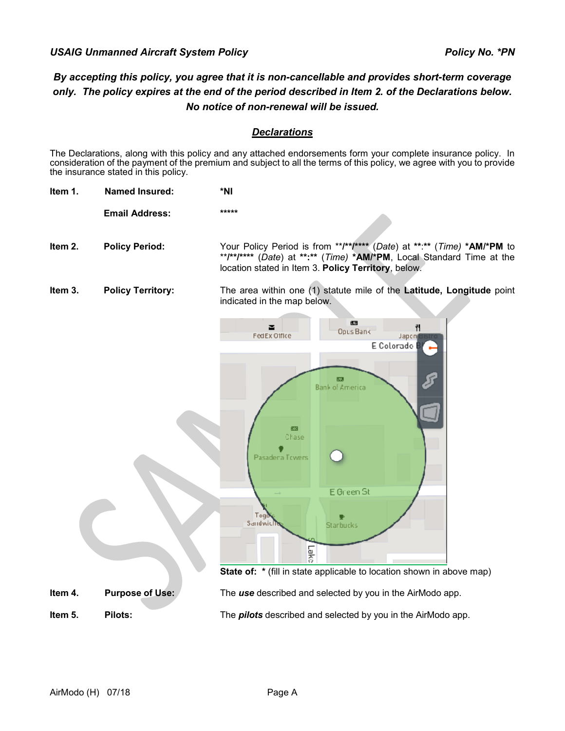# *By accepting this policy, you agree that it is non-cancellable and provides short-term coverage only. The policy expires at the end of the period described in Item 2. of the Declarations below. No notice of non-renewal will be issued.*

# *Declarations*

The Declarations, along with this policy and any attached endorsements form your complete insurance policy. In consideration of the payment of the premium and subject to all the terms of this policy, we agree with you to provide the insurance stated in this policy.

**Item 1. Named Insured: \*NI**

**Email Address: \*\*\*\*\***

**Item 2. Policy Period:** Your Policy Period is from \*\***/\*\*/\*\*\*\*** (*Date*) at **\*\***:**\*\*** (*Time)* **\*AM/\*PM** to \*\***/\*\*/\*\*\*\*** (*Date*) at **\*\*:\*\*** (*Time)* **\*AM/\*PM**, Local Standard Time at the location stated in Item 3. **Policy Territory**, below.

**Item 3. Policy Territory:** The area within one (1) statute mile of the **Latitude, Longitude** point indicated in the map below.



**State of:**  $*$  (fill in state applicable to location shown in above map)

**Item 4. Purpose of Use:** The *use* described and selected by you in the AirModo app.

**Item 5. Pilots:** The *pilots* described and selected by you in the AirModo app.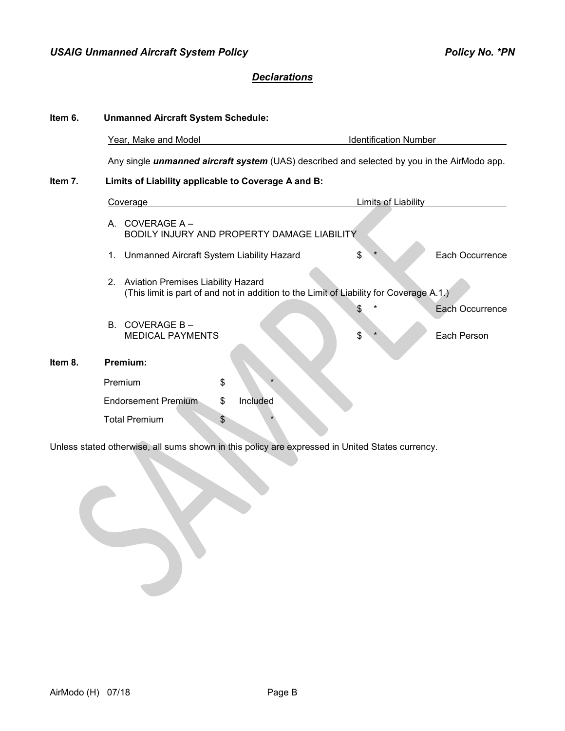# *Declarations*

| Item 6. | <b>Unmanned Aircraft System Schedule:</b>                       |                                                                                                    |                 |  |  |  |  |
|---------|-----------------------------------------------------------------|----------------------------------------------------------------------------------------------------|-----------------|--|--|--|--|
|         | Year, Make and Model                                            | <b>Identification Number</b>                                                                       |                 |  |  |  |  |
|         |                                                                 | Any single <i>unmanned aircraft system</i> (UAS) described and selected by you in the AirModo app. |                 |  |  |  |  |
| Item 7. | Limits of Liability applicable to Coverage A and B:             |                                                                                                    |                 |  |  |  |  |
|         | <b>Coverage</b>                                                 | <b>Limits of Liability</b>                                                                         |                 |  |  |  |  |
|         | A COVERAGE $A -$<br>BODILY INJURY AND PROPERTY DAMAGE LIABILITY |                                                                                                    |                 |  |  |  |  |
|         | Unmanned Aircraft System Liability Hazard<br>1.                 | \$                                                                                                 | Each Occurrence |  |  |  |  |
|         | 2. Aviation Premises Liability Hazard                           | (This limit is part of and not in addition to the Limit of Liability for Coverage A.1.)            |                 |  |  |  |  |
|         |                                                                 |                                                                                                    | Each Occurrence |  |  |  |  |
|         | COVERAGE B-<br>B.<br><b>MEDICAL PAYMENTS</b>                    | \$                                                                                                 | Each Person     |  |  |  |  |
| Item 8. | Premium:                                                        |                                                                                                    |                 |  |  |  |  |
|         | \$<br>Premium                                                   |                                                                                                    |                 |  |  |  |  |
|         | \$<br><b>Endorsement Premium</b><br>Included                    |                                                                                                    |                 |  |  |  |  |
|         | <b>Total Premium</b><br>\$                                      |                                                                                                    |                 |  |  |  |  |

Unless stated otherwise, all sums shown in this policy are expressed in United States currency.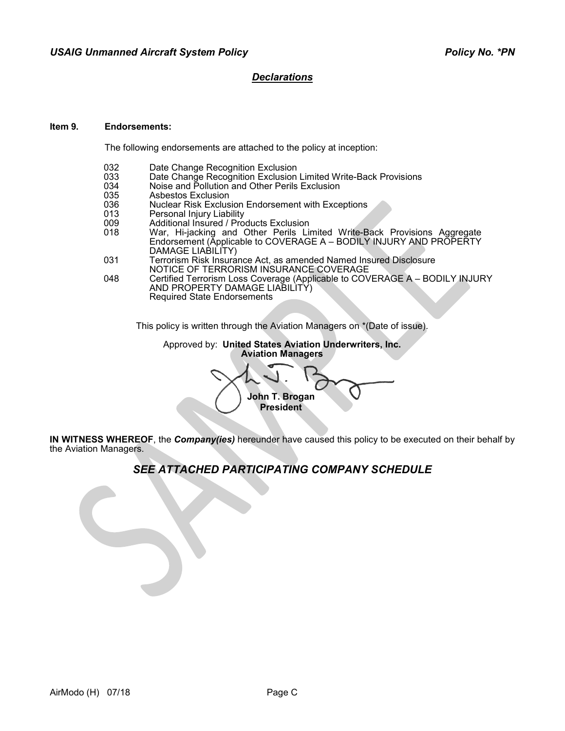# *Declarations*

#### **Item 9. Endorsements:**

The following endorsements are attached to the policy at inception:

- 
- 032 Date Change Recognition Exclusion<br>033 Date Change Recognition Exclusion 033 Date Change Recognition Exclusion Limited Write-Back Provisions<br>034 Noise and Pollution and Other Perils Exclusion
- 034 Noise and Pollution and Other Perils Exclusion<br>035 Asbestos Exclusion
- 035 Asbestos Exclusion<br>036 Nuclear Risk Exclus
- 036 Nuclear Risk Exclusion Endorsement with Exceptions<br>013 Personal Injury Liability
- 013 Personal Injury Liability<br>009 Additional Insured / Pro
- 009 Additional Insured / Products Exclusion
- 018 War, Hi-jacking and Other Perils Limited Write-Back Provisions Aggregate Endorsement (Applicable to COVERAGE A - BODILY INJURY AND PROPERTY DAMAGE LIABILITY)
- 031 Terrorism Risk Insurance Act, as amended Named Insured Disclosure NOTICE OF TERRORISM INSURANCE COVERAGE
- 048 Certified Terrorism Loss Coverage (Applicable to COVERAGE A BODILY INJURY AND PROPERTY DAMAGE LIABILITY) Required State Endorsements

This policy is written through the Aviation Managers on \*(Date of issue).

Approved by: **United States Aviation Underwriters, Inc. Aviation Managers**

**John T. Brogan President**

**IN WITNESS WHEREOF**, the *Company(ies)* hereunder have caused this policy to be executed on their behalf by the Aviation Managers.

# *SEE ATTACHED PARTICIPATING COMPANY SCHEDULE*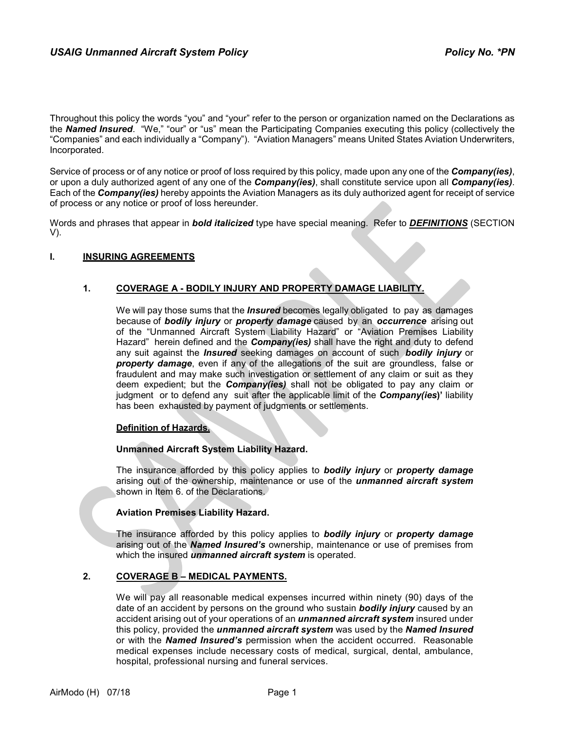Throughout this policy the words "you" and "your" refer to the person or organization named on the Declarations as the *Named Insured*. "We," "our" or "us" mean the Participating Companies executing this policy (collectively the "Companies" and each individually a "Company"). "Aviation Managers" means United States Aviation Underwriters, Incorporated.

Service of process or of any notice or proof of loss required by this policy, made upon any one of the *Company(ies)*, or upon a duly authorized agent of any one of the *Company(ies)*, shall constitute service upon all *Company(ies)*. Each of the *Company(ies)* hereby appoints the Aviation Managers as its duly authorized agent for receipt of service of process or any notice or proof of loss hereunder.

Words and phrases that appear in *bold italicized* type have special meaning. Refer to *DEFINITIONS* (SECTION V).

#### **I. INSURING AGREEMENTS**

## **1. COVERAGE A - BODILY INJURY AND PROPERTY DAMAGE LIABILITY.**

We will pay those sums that the *Insured* becomes legally obligated to pay as damages because of *bodily injury* or *property damage* caused by an *occurrence* arising out of the "Unmanned Aircraft System Liability Hazard" or "Aviation Premises Liability Hazard" herein defined and the *Company(ies)* shall have the right and duty to defend any suit against the *Insured* seeking damages on account of such *bodily injury* or *property damage*, even if any of the allegations of the suit are groundless, false or fraudulent and may make such investigation or settlement of any claim or suit as they deem expedient; but the *Company(ies)* shall not be obligated to pay any claim or judgment or to defend any suit after the applicable limit of the *Company(ies***)'** liability has been exhausted by payment of judgments or settlements.

#### **Definition of Hazards.**

#### **Unmanned Aircraft System Liability Hazard.**

The insurance afforded by this policy applies to *bodily injury* or *property damage* arising out of the ownership, maintenance or use of the *unmanned aircraft system*  shown in Item 6. of the Declarations.

## **Aviation Premises Liability Hazard.**

The insurance afforded by this policy applies to *bodily injury* or *property damage* arising out of the *Named Insured's* ownership, maintenance or use of premises from which the insured *unmanned aircraft system* is operated.

#### **2. COVERAGE B – MEDICAL PAYMENTS.**

We will pay all reasonable medical expenses incurred within ninety (90) days of the date of an accident by persons on the ground who sustain *bodily injury* caused by an accident arising out of your operations of an *unmanned aircraft system* insured under this policy, provided the *unmanned aircraft system* was used by the *Named Insured*  or with the *Named Insured's* permission when the accident occurred. Reasonable medical expenses include necessary costs of medical, surgical, dental, ambulance, hospital, professional nursing and funeral services.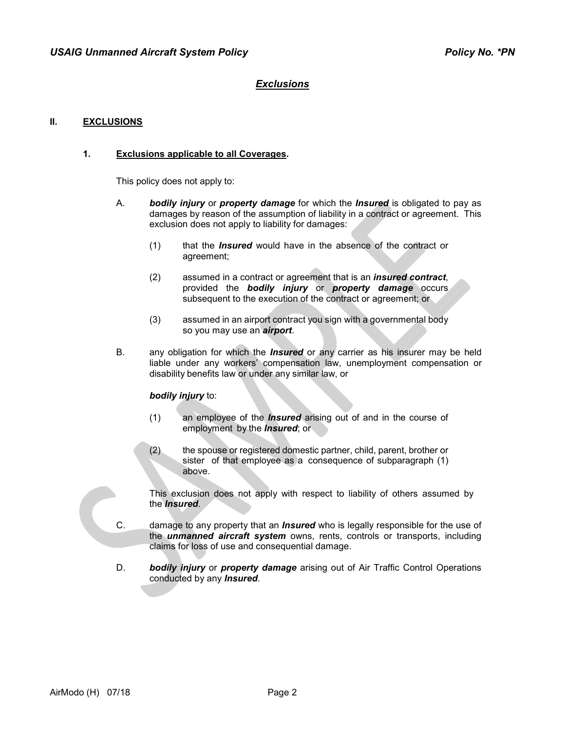#### **II. EXCLUSIONS**

#### **1. Exclusions applicable to all Coverages.**

This policy does not apply to:

- A. *bodily injury* or *property damage* for which the *Insured* is obligated to pay as damages by reason of the assumption of liability in a contract or agreement. This exclusion does not apply to liability for damages:
	- (1) that the *Insured* would have in the absence of the contract or agreement;
	- (2) assumed in a contract or agreement that is an *insured contract*, provided the *bodily injury* or *property damage* occurs subsequent to the execution of the contract or agreement; or
	- (3) assumed in an airport contract you sign with a governmental body so you may use an *airport*.
- B. any obligation for which the *Insured* or any carrier as his insurer may be held liable under any workers' compensation law, unemployment compensation or disability benefits law or under any similar law, or

#### *bodily injury* to:

- (1) an employee of the *Insured* arising out of and in the course of employment by the *Insured*; or
- (2) the spouse or registered domestic partner, child, parent, brother or sister of that employee as a consequence of subparagraph (1) above.

This exclusion does not apply with respect to liability of others assumed by the *Insured*.

- C. damage to any property that an *Insured* who is legally responsible for the use of the *unmanned aircraft system* owns, rents, controls or transports, including claims for loss of use and consequential damage.
- D. *bodily injury* or *property damage* arising out of Air Traffic Control Operations conducted by any *Insured*.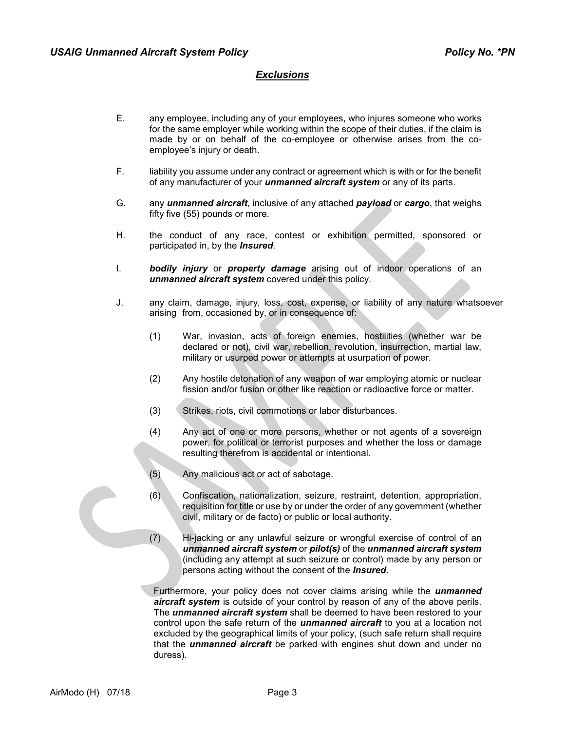- E. any employee, including any of your employees, who injures someone who works for the same employer while working within the scope of their duties, if the claim is made by or on behalf of the co-employee or otherwise arises from the coemployee's injury or death.
- F. liability you assume under any contract or agreement which is with or for the benefit of any manufacturer of your *unmanned aircraft system* or any of its parts.
- G. any *unmanned aircraft*, inclusive of any attached *payload* or *cargo*, that weighs fifty five (55) pounds or more.
- H. the conduct of any race, contest or exhibition permitted, sponsored or participated in, by the *Insured*.
- I. *bodily injury* or *property damage* arising out of indoor operations of an *unmanned aircraft system* covered under this policy.
- J. any claim, damage, injury, loss, cost, expense, or liability of any nature whatsoever arising from, occasioned by, or in consequence of:
	- (1) War, invasion, acts of foreign enemies, hostilities (whether war be declared or not), civil war, rebellion, revolution, insurrection, martial law, military or usurped power or attempts at usurpation of power.
	- (2) Any hostile detonation of any weapon of war employing atomic or nuclear fission and/or fusion or other like reaction or radioactive force or matter.
	- (3) Strikes, riots, civil commotions or labor disturbances.
	- (4) Any act of one or more persons, whether or not agents of a sovereign power, for political or terrorist purposes and whether the loss or damage resulting therefrom is accidental or intentional.
	- (5) Any malicious act or act of sabotage.
	- (6) Confiscation, nationalization, seizure, restraint, detention, appropriation, requisition for title or use by or under the order of any government (whether civil, military or de facto) or public or local authority.
	- (7) Hi-jacking or any unlawful seizure or wrongful exercise of control of an *unmanned aircraft system* or *pilot(s)* of the *unmanned aircraft system* (including any attempt at such seizure or control) made by any person or persons acting without the consent of the *Insured*.

Furthermore, your policy does not cover claims arising while the *unmanned aircraft system* is outside of your control by reason of any of the above perils. The *unmanned aircraft system* shall be deemed to have been restored to your control upon the safe return of the *unmanned aircraft* to you at a location not excluded by the geographical limits of your policy, (such safe return shall require that the *unmanned aircraft* be parked with engines shut down and under no duress).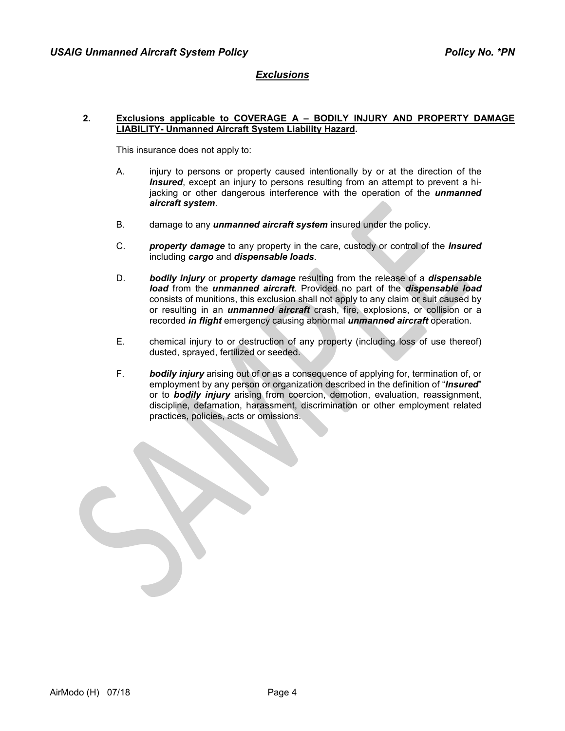#### **2. Exclusions applicable to COVERAGE A – BODILY INJURY AND PROPERTY DAMAGE LIABILITY- Unmanned Aircraft System Liability Hazard.**

This insurance does not apply to:

- A. injury to persons or property caused intentionally by or at the direction of the *Insured*, except an injury to persons resulting from an attempt to prevent a hijacking or other dangerous interference with the operation of the *unmanned aircraft system*.
- B. damage to any *unmanned aircraft system* insured under the policy.
- C. *property damage* to any property in the care, custody or control of the *Insured* including *cargo* and *dispensable loads*.
- D. *bodily injury* or *property damage* resulting from the release of a *dispensable load* from the *unmanned aircraft*. Provided no part of the *dispensable load*  consists of munitions, this exclusion shall not apply to any claim or suit caused by or resulting in an *unmanned aircraft* crash, fire, explosions, or collision or a recorded *in flight* emergency causing abnormal *unmanned aircraft* operation.
- E. chemical injury to or destruction of any property (including loss of use thereof) dusted, sprayed, fertilized or seeded.
- F. *bodily injury* arising out of or as a consequence of applying for, termination of, or employment by any person or organization described in the definition of "*Insured*" or to *bodily injury* arising from coercion, demotion, evaluation, reassignment, discipline, defamation, harassment, discrimination or other employment related practices, policies, acts or omissions.

AirModo (H) 07/18 Page 4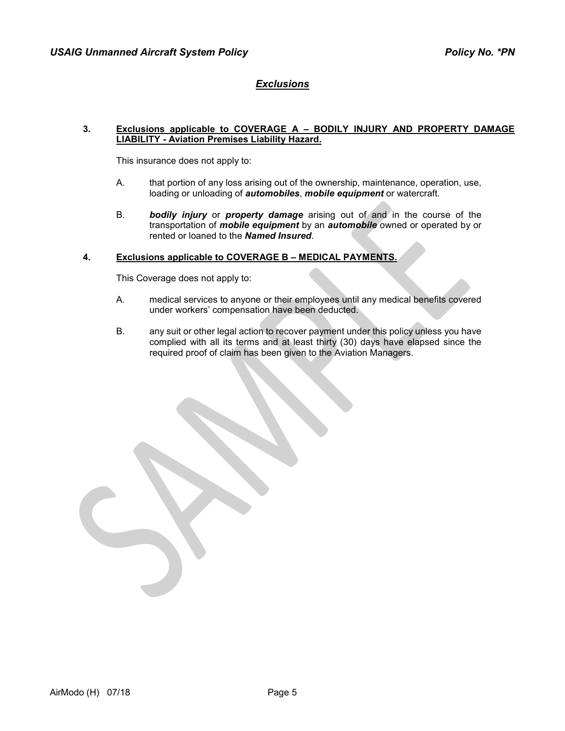#### **3. Exclusions applicable to COVERAGE A – BODILY INJURY AND PROPERTY DAMAGE LIABILITY - Aviation Premises Liability Hazard.**

This insurance does not apply to:

- A. that portion of any loss arising out of the ownership, maintenance, operation, use, loading or unloading of *automobiles*, *mobile equipment* or watercraft.
- B. *bodily injury* or *property damage* arising out of and in the course of the transportation of *mobile equipment* by an *automobile* owned or operated by or rented or loaned to the *Named Insured*.

# **4. Exclusions applicable to COVERAGE B – MEDICAL PAYMENTS.**

This Coverage does not apply to:

- A. medical services to anyone or their employees until any medical benefits covered under workers' compensation have been deducted.
- B. any suit or other legal action to recover payment under this policy unless you have complied with all its terms and at least thirty (30) days have elapsed since the required proof of claim has been given to the Aviation Managers.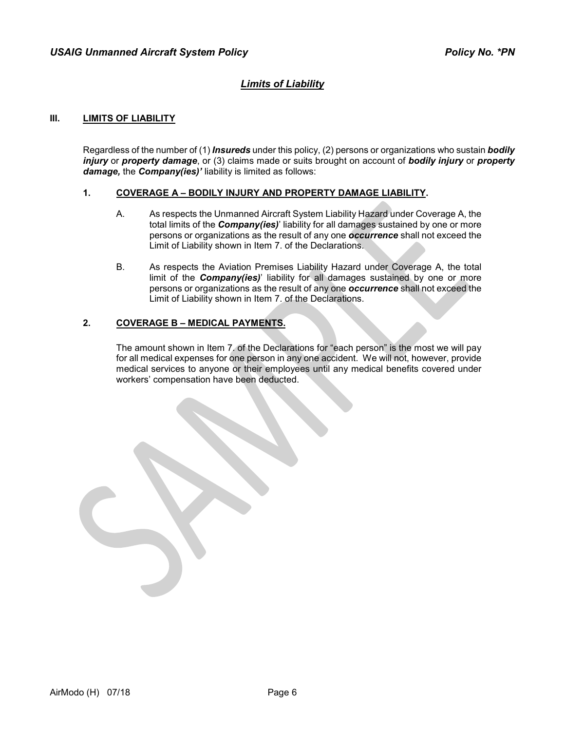# *Limits of Liability*

## **III. LIMITS OF LIABILITY**

Regardless of the number of (1) *Insureds* under this policy, (2) persons or organizations who sustain *bodily injury* or *property damage*, or (3) claims made or suits brought on account of *bodily injury* or *property damage,* the *Company(ies)'* liability is limited as follows:

#### **1. COVERAGE A – BODILY INJURY AND PROPERTY DAMAGE LIABILITY.**

- A. As respects the Unmanned Aircraft System Liability Hazard under Coverage A, the total limits of the *Company(ies)*' liability for all damages sustained by one or more persons or organizations as the result of any one *occurrence* shall not exceed the Limit of Liability shown in Item 7. of the Declarations.
- B. As respects the Aviation Premises Liability Hazard under Coverage A, the total limit of the *Company(ies)*' liability for all damages sustained by one or more persons or organizations as the result of any one *occurrence* shall not exceed the Limit of Liability shown in Item 7. of the Declarations.

## **2. COVERAGE B – MEDICAL PAYMENTS.**

The amount shown in Item 7. of the Declarations for "each person" is the most we will pay for all medical expenses for one person in any one accident. We will not, however, provide medical services to anyone or their employees until any medical benefits covered under workers' compensation have been deducted.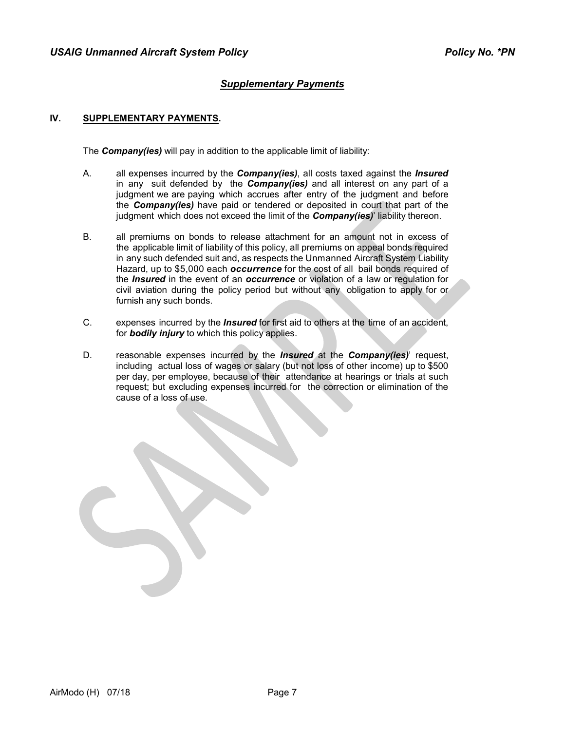# *Supplementary Payments*

## **IV. SUPPLEMENTARY PAYMENTS.**

The *Company(ies)* will pay in addition to the applicable limit of liability:

- A. all expenses incurred by the *Company(ies)*, all costs taxed against the *Insured* in any suit defended by the *Company(ies)* and all interest on any part of a judgment we are paying which accrues after entry of the judgment and before the *Company(ies)* have paid or tendered or deposited in court that part of the judgment which does not exceed the limit of the *Company(ies)*' liability thereon.
- B. all premiums on bonds to release attachment for an amount not in excess of the applicable limit of liability of this policy, all premiums on appeal bonds required in any such defended suit and, as respects the Unmanned Aircraft System Liability Hazard, up to \$5,000 each *occurrence* for the cost of all bail bonds required of the *Insured* in the event of an *occurrence* or violation of a law or regulation for civil aviation during the policy period but without any obligation to apply for or furnish any such bonds.
- C. expenses incurred by the *Insured* for first aid to others at the time of an accident, for *bodily injury* to which this policy applies.
- D. reasonable expenses incurred by the *Insured* at the *Company(ies)*' request, including actual loss of wages or salary (but not loss of other income) up to \$500 per day, per employee, because of their attendance at hearings or trials at such request; but excluding expenses incurred for the correction or elimination of the cause of a loss of use.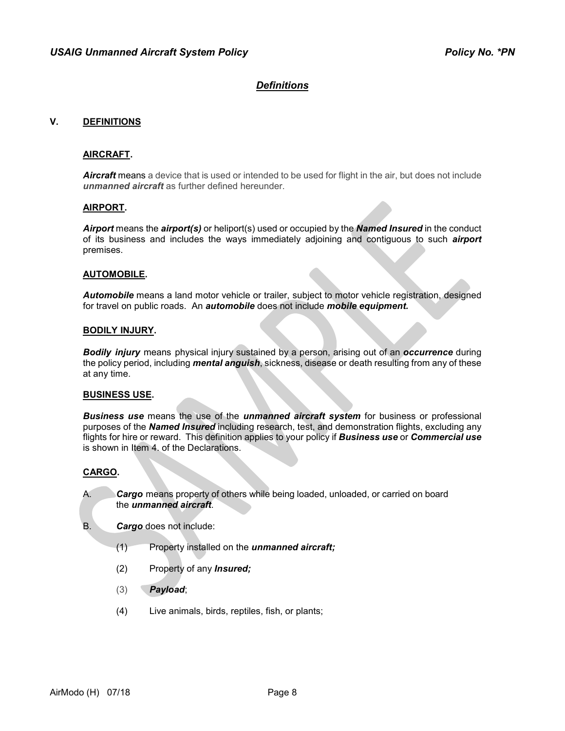#### **V. DEFINITIONS**

#### **AIRCRAFT.**

*Aircraft* means a device that is used or intended to be used for flight in the air, but does not include *unmanned aircraft* as further defined hereunder.

#### **AIRPORT.**

*Airport* means the *airport(s)* or heliport(s) used or occupied by the *Named Insured* in the conduct of its business and includes the ways immediately adjoining and contiguous to such *airport* premises.

#### **AUTOMOBILE.**

*Automobile* means a land motor vehicle or trailer, subject to motor vehicle registration, designed for travel on public roads. An *automobile* does not include *mobile equipment.*

#### **BODILY INJURY.**

*Bodily injury* means physical injury sustained by a person, arising out of an *occurrence* during the policy period, including *mental anguish*, sickness, disease or death resulting from any of these at any time.

#### **BUSINESS USE.**

*Business use* means the use of the *unmanned aircraft system* for business or professional purposes of the *Named Insured* including research, test, and demonstration flights, excluding any flights for hire or reward. This definition applies to your policy if *Business use* or *Commercial use* is shown in Item 4. of the Declarations.

#### **CARGO.**

A. *Cargo* means property of others while being loaded, unloaded, or carried on board the *unmanned aircraft*.

- B. *Cargo* does not include:
	- (1) Property installed on the *unmanned aircraft;*
	- (2) Property of any *Insured;*
	- (3) *Payload*;
	- (4) Live animals, birds, reptiles, fish, or plants;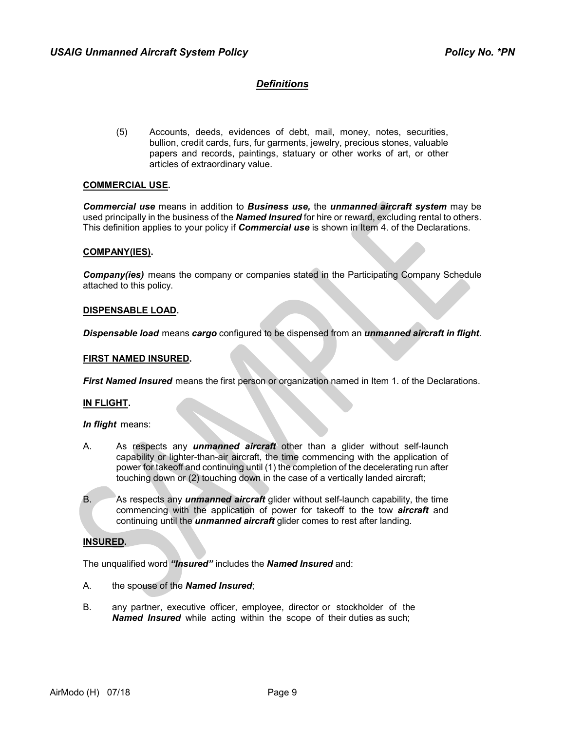(5) Accounts, deeds, evidences of debt, mail, money, notes, securities, bullion, credit cards, furs, fur garments, jewelry, precious stones, valuable papers and records, paintings, statuary or other works of art, or other articles of extraordinary value.

#### **COMMERCIAL USE.**

*Commercial use* means in addition to *Business use,* the *unmanned aircraft system* may be used principally in the business of the *Named Insured* for hire or reward, excluding rental to others. This definition applies to your policy if *Commercial use* is shown in Item 4. of the Declarations.

#### **COMPANY(IES).**

*Company(ies)* means the company or companies stated in the Participating Company Schedule attached to this policy.

#### **DISPENSABLE LOAD.**

*Dispensable load* means *cargo* configured to be dispensed from an *unmanned aircraft in flight*.

#### **FIRST NAMED INSURED.**

*First Named Insured* means the first person or organization named in Item 1. of the Declarations.

#### **IN FLIGHT.**

*In flight* means:

- A. As respects any *unmanned aircraft* other than a glider without self-launch capability or lighter-than-air aircraft, the time commencing with the application of power for takeoff and continuing until (1) the completion of the decelerating run after touching down or (2) touching down in the case of a vertically landed aircraft;
- B. As respects any *unmanned aircraft* glider without self-launch capability, the time commencing with the application of power for takeoff to the tow *aircraft* and continuing until the *unmanned aircraft* glider comes to rest after landing.

#### **INSURED.**

The unqualified word *"Insured"* includes the *Named Insured* and:

- A. the spouse of the *Named Insured*;
- B. any partner, executive officer, employee, director or stockholder of the *Named Insured* while acting within the scope of their duties as such;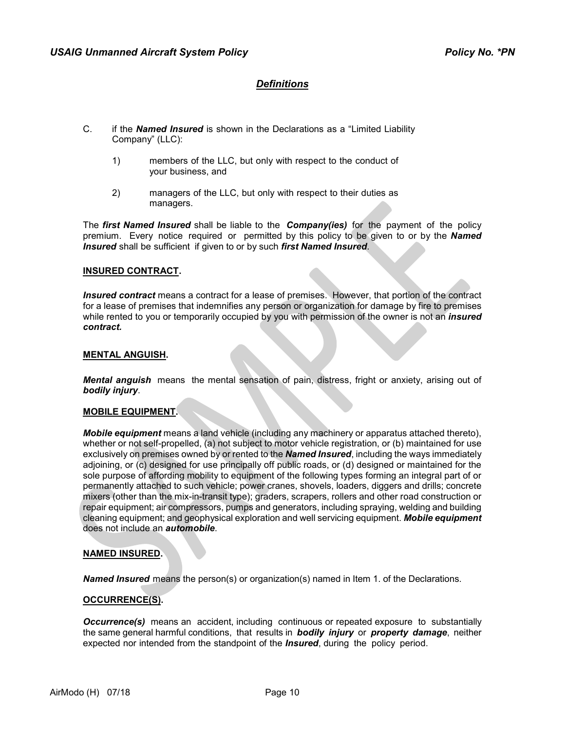- C. if the *Named Insured* is shown in the Declarations as a "Limited Liability Company" (LLC):
	- 1) members of the LLC, but only with respect to the conduct of your business, and
	- 2) managers of the LLC, but only with respect to their duties as managers.

The *first Named Insured* shall be liable to the *Company(ies)* for the payment of the policy premium. Every notice required or permitted by this policy to be given to or by the *Named Insured* shall be sufficient if given to or by such *first Named Insured*.

#### **INSURED CONTRACT.**

*Insured contract* means a contract for a lease of premises. However, that portion of the contract for a lease of premises that indemnifies any person or organization for damage by fire to premises while rented to you or temporarily occupied by you with permission of the owner is not an *insured contract.*

#### **MENTAL ANGUISH.**

*Mental anguish* means the mental sensation of pain, distress, fright or anxiety, arising out of *bodily injury*.

#### **MOBILE EQUIPMENT.**

*Mobile equipment* means a land vehicle (including any machinery or apparatus attached thereto), whether or not self-propelled, (a) not subject to motor vehicle registration, or (b) maintained for use exclusively on premises owned by or rented to the *Named Insured*, including the ways immediately adjoining, or (c) designed for use principally off public roads, or (d) designed or maintained for the sole purpose of affording mobility to equipment of the following types forming an integral part of or permanently attached to such vehicle; power cranes, shovels, loaders, diggers and drills; concrete mixers (other than the mix-in-transit type); graders, scrapers, rollers and other road construction or repair equipment; air compressors, pumps and generators, including spraying, welding and building cleaning equipment; and geophysical exploration and well servicing equipment. *Mobile equipment* does not include an *automobile*.

#### **NAMED INSURED.**

*Named Insured* means the person(s) or organization(s) named in Item 1. of the Declarations.

#### **OCCURRENCE(S).**

**Occurrence(s)** means an accident, including continuous or repeated exposure to substantially the same general harmful conditions, that results in *bodily injury* or *property damage*, neither expected nor intended from the standpoint of the *Insured*, during the policy period.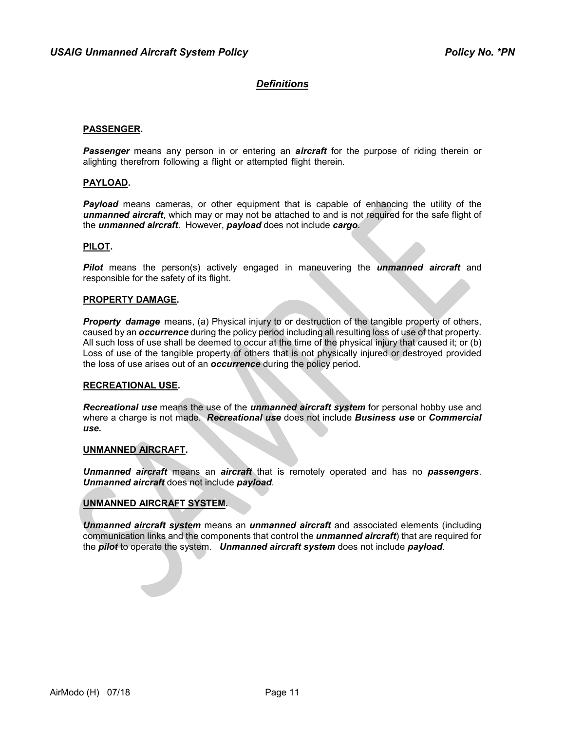#### **PASSENGER.**

*Passenger* means any person in or entering an *aircraft* for the purpose of riding therein or alighting therefrom following a flight or attempted flight therein.

#### **PAYLOAD.**

*Payload* means cameras, or other equipment that is capable of enhancing the utility of the *unmanned aircraft*, which may or may not be attached to and is not required for the safe flight of the *unmanned aircraft*. However, *payload* does not include *cargo*.

#### **PILOT.**

*Pilot* means the person(s) actively engaged in maneuvering the *unmanned aircraft* and responsible for the safety of its flight.

#### **PROPERTY DAMAGE.**

*Property damage* means, (a) Physical injury to or destruction of the tangible property of others, caused by an *occurrence* during the policy period including all resulting loss of use of that property. All such loss of use shall be deemed to occur at the time of the physical injury that caused it; or (b) Loss of use of the tangible property of others that is not physically injured or destroyed provided the loss of use arises out of an *occurrence* during the policy period.

#### **RECREATIONAL USE.**

*Recreational use* means the use of the *unmanned aircraft system* for personal hobby use and where a charge is not made. *Recreational use* does not include *Business use* or *Commercial use.*

#### **UNMANNED AIRCRAFT.**

*Unmanned aircraft* means an *aircraft* that is remotely operated and has no *passengers*. *Unmanned aircraft* does not include *payload*.

#### **UNMANNED AIRCRAFT SYSTEM.**

*Unmanned aircraft system* means an *unmanned aircraft* and associated elements (including communication links and the components that control the *unmanned aircraft*) that are required for the *pilot* to operate the system. *Unmanned aircraft system* does not include *payload*.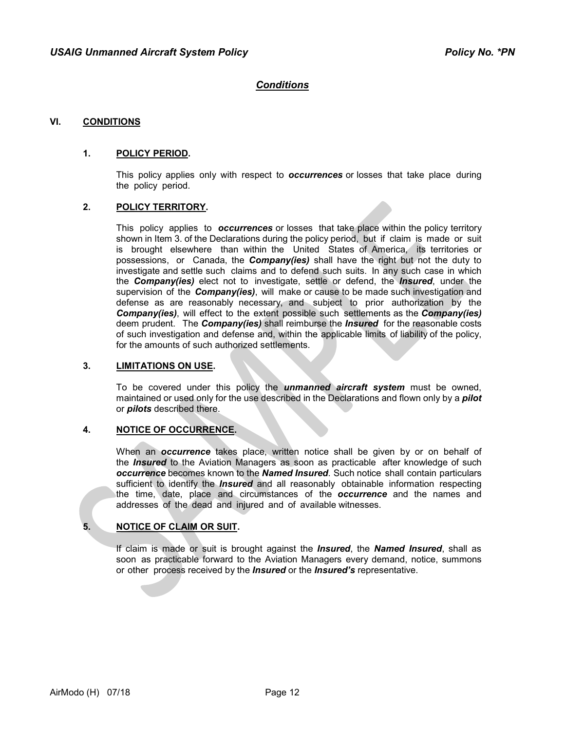# *Conditions*

#### **VI. CONDITIONS**

#### **1. POLICY PERIOD.**

This policy applies only with respect to *occurrences* or losses that take place during the policy period.

#### **2. POLICY TERRITORY.**

This policy applies to *occurrences* or losses that take place within the policy territory shown in Item 3. of the Declarations during the policy period, but if claim is made or suit is brought elsewhere than within the United States of America, its territories or possessions, or Canada, the *Company(ies)* shall have the right but not the duty to investigate and settle such claims and to defend such suits. In any such case in which the *Company(ies)* elect not to investigate, settle or defend, the *Insured*, under the supervision of the *Company(ies)*, will make or cause to be made such investigation and defense as are reasonably necessary, and subject to prior authorization by the *Company(ies)*, will effect to the extent possible such settlements as the *Company(ies)* deem prudent. The *Company(ies)* shall reimburse the *Insured* for the reasonable costs of such investigation and defense and, within the applicable limits of liability of the policy, for the amounts of such authorized settlements.

#### **3. LIMITATIONS ON USE.**

To be covered under this policy the *unmanned aircraft system* must be owned, maintained or used only for the use described in the Declarations and flown only by a *pilot* or *pilots* described there.

#### **4. NOTICE OF OCCURRENCE.**

When an *occurrence* takes place, written notice shall be given by or on behalf of the *Insured* to the Aviation Managers as soon as practicable after knowledge of such *occurrence* becomes known to the *Named Insured*. Such notice shall contain particulars sufficient to identify the *Insured* and all reasonably obtainable information respecting the time, date, place and circumstances of the *occurrence* and the names and addresses of the dead and injured and of available witnesses.

#### **5. NOTICE OF CLAIM OR SUIT.**

If claim is made or suit is brought against the *Insured*, the *Named Insured*, shall as soon as practicable forward to the Aviation Managers every demand, notice, summons or other process received by the *Insured* or the *Insured's* representative.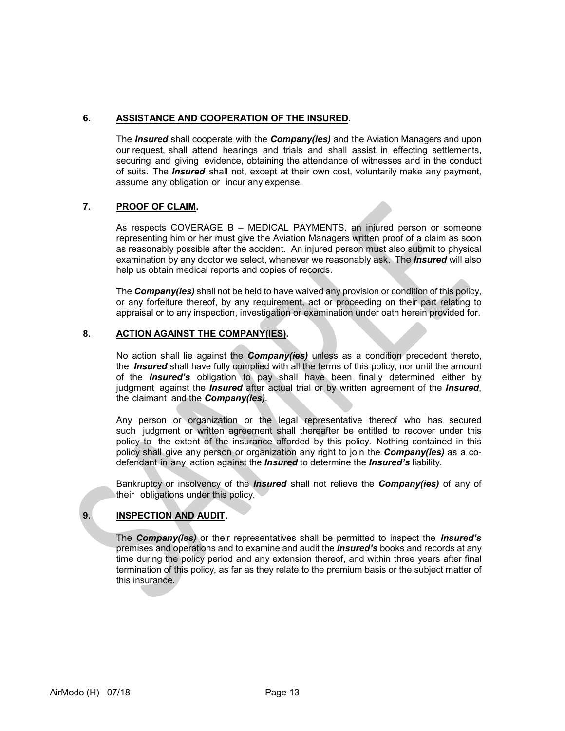# **6. ASSISTANCE AND COOPERATION OF THE INSURED.**

The *Insured* shall cooperate with the *Company(ies)* and the Aviation Managers and upon our request, shall attend hearings and trials and shall assist, in effecting settlements, securing and giving evidence, obtaining the attendance of witnesses and in the conduct of suits. The *Insured* shall not, except at their own cost, voluntarily make any payment, assume any obligation or incur any expense.

## **7. PROOF OF CLAIM.**

As respects COVERAGE B – MEDICAL PAYMENTS, an injured person or someone representing him or her must give the Aviation Managers written proof of a claim as soon as reasonably possible after the accident. An injured person must also submit to physical examination by any doctor we select, whenever we reasonably ask. The *Insured* will also help us obtain medical reports and copies of records.

The *Company(ies)* shall not be held to have waived any provision or condition of this policy, or any forfeiture thereof, by any requirement, act or proceeding on their part relating to appraisal or to any inspection, investigation or examination under oath herein provided for.

## **8. ACTION AGAINST THE COMPANY(IES).**

No action shall lie against the *Company(ies)* unless as a condition precedent thereto, the *Insured* shall have fully complied with all the terms of this policy, nor until the amount of the *Insured's* obligation to pay shall have been finally determined either by judgment against the *Insured* after actual trial or by written agreement of the *Insured*, the claimant and the *Company(ies)*.

Any person or organization or the legal representative thereof who has secured such judgment or written agreement shall thereafter be entitled to recover under this policy to the extent of the insurance afforded by this policy. Nothing contained in this policy shall give any person or organization any right to join the *Company(ies)* as a codefendant in any action against the *Insured* to determine the *Insured's* liability.

Bankruptcy or insolvency of the *Insured* shall not relieve the *Company(ies)* of any of their obligations under this policy.

# **9. INSPECTION AND AUDIT.**

The *Company(ies)* or their representatives shall be permitted to inspect the *Insured's* premises and operations and to examine and audit the *Insured's* books and records at any time during the policy period and any extension thereof, and within three years after final termination of this policy, as far as they relate to the premium basis or the subject matter of this insurance.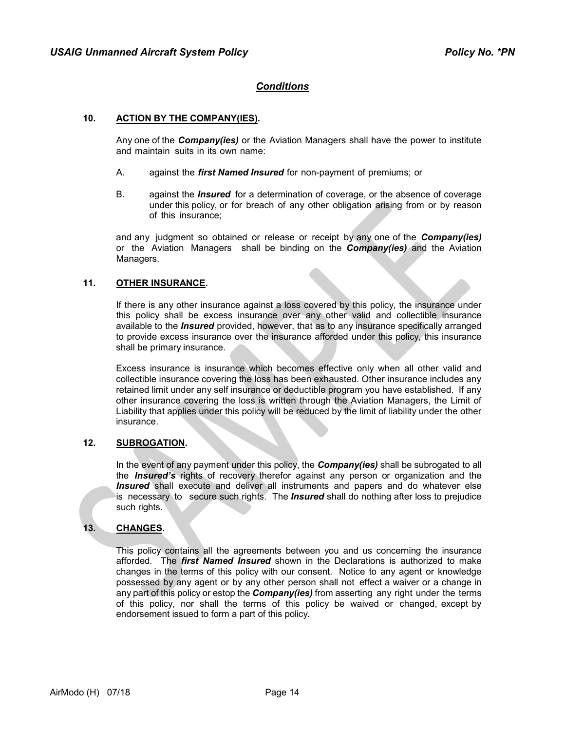# *Conditions*

#### **10. ACTION BY THE COMPANY(IES).**

Any one of the *Company(ies)* or the Aviation Managers shall have the power to institute and maintain suits in its own name:

- A. against the *first Named Insured* for non-payment of premiums; or
- B. against the *Insured* for a determination of coverage, or the absence of coverage under this policy, or for breach of any other obligation arising from or by reason of this insurance;

and any judgment so obtained or release or receipt by any one of the *Company(ies)* or the Aviation Managers shall be binding on the *Company(ies)* and the Aviation Managers.

## **11. OTHER INSURANCE.**

If there is any other insurance against a loss covered by this policy, the insurance under this policy shall be excess insurance over any other valid and collectible insurance available to the *Insured* provided, however, that as to any insurance specifically arranged to provide excess insurance over the insurance afforded under this policy, this insurance shall be primary insurance.

Excess insurance is insurance which becomes effective only when all other valid and collectible insurance covering the loss has been exhausted. Other insurance includes any retained limit under any self insurance or deductible program you have established. If any other insurance covering the loss is written through the Aviation Managers, the Limit of Liability that applies under this policy will be reduced by the limit of liability under the other insurance.

## **12. SUBROGATION.**

In the event of any payment under this policy, the *Company(ies)* shall be subrogated to all the *Insured's* rights of recovery therefor against any person or organization and the *Insured* shall execute and deliver all instruments and papers and do whatever else is necessary to secure such rights. The *Insured* shall do nothing after loss to prejudice such rights.

## **13. CHANGES.**

This policy contains all the agreements between you and us concerning the insurance afforded. The *first Named Insured* shown in the Declarations is authorized to make changes in the terms of this policy with our consent. Notice to any agent or knowledge possessed by any agent or by any other person shall not effect a waiver or a change in any part of this policy or estop the *Company(ies)* from asserting any right under the terms of this policy, nor shall the terms of this policy be waived or changed, except by endorsement issued to form a part of this policy.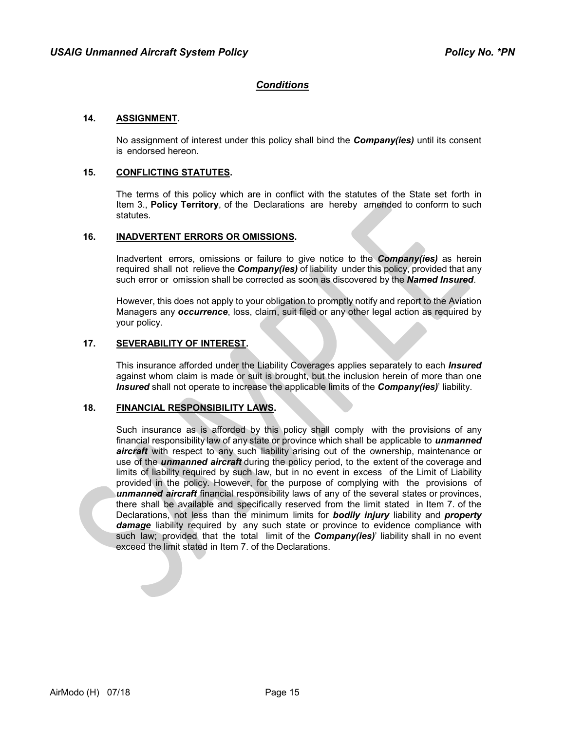# *Conditions*

#### **14. ASSIGNMENT.**

No assignment of interest under this policy shall bind the *Company(ies)* until its consent is endorsed hereon.

## **15. CONFLICTING STATUTES.**

The terms of this policy which are in conflict with the statutes of the State set forth in Item 3., **Policy Territory**, of the Declarations are hereby amended to conform to such statutes.

#### **16. INADVERTENT ERRORS OR OMISSIONS.**

Inadvertent errors, omissions or failure to give notice to the *Company(ies)* as herein required shall not relieve the *Company(ies)* of liability under this policy, provided that any such error or omission shall be corrected as soon as discovered by the *Named Insured*.

However, this does not apply to your obligation to promptly notify and report to the Aviation Managers any *occurrence*, loss, claim, suit filed or any other legal action as required by your policy.

#### **17. SEVERABILITY OF INTEREST.**

This insurance afforded under the Liability Coverages applies separately to each *Insured* against whom claim is made or suit is brought, but the inclusion herein of more than one *Insured* shall not operate to increase the applicable limits of the *Company(ies)*' liability.

#### **18. FINANCIAL RESPONSIBILITY LAWS.**

Such insurance as is afforded by this policy shall comply with the provisions of any financial responsibility law of any state or province which shall be applicable to *unmanned aircraft* with respect to any such liability arising out of the ownership, maintenance or use of the *unmanned aircraft* during the policy period, to the extent of the coverage and limits of liability required by such law, but in no event in excess of the Limit of Liability provided in the policy. However, for the purpose of complying with the provisions of *unmanned aircraft* financial responsibility laws of any of the several states or provinces, there shall be available and specifically reserved from the limit stated in Item 7. of the Declarations, not less than the minimum limits for *bodily injury* liability and *property damage* liability required by any such state or province to evidence compliance with such law; provided that the total limit of the *Company(ies)*' liability shall in no event exceed the limit stated in Item 7. of the Declarations.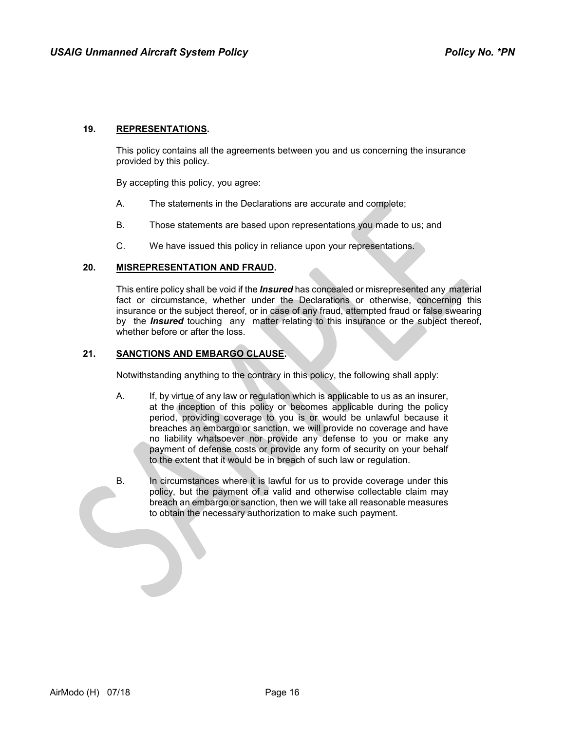## **19. REPRESENTATIONS.**

This policy contains all the agreements between you and us concerning the insurance provided by this policy.

By accepting this policy, you agree:

- A. The statements in the Declarations are accurate and complete;
- B. Those statements are based upon representations you made to us; and
- C. We have issued this policy in reliance upon your representations.

#### **20. MISREPRESENTATION AND FRAUD.**

This entire policy shall be void if the *Insured* has concealed or misrepresented any material fact or circumstance, whether under the Declarations or otherwise, concerning this insurance or the subject thereof, or in case of any fraud, attempted fraud or false swearing by the *Insured* touching any matter relating to this insurance or the subject thereof, whether before or after the loss.

#### **21. SANCTIONS AND EMBARGO CLAUSE.**

Notwithstanding anything to the contrary in this policy, the following shall apply:

- A. If, by virtue of any law or regulation which is applicable to us as an insurer, at the inception of this policy or becomes applicable during the policy period, providing coverage to you is or would be unlawful because it breaches an embargo or sanction, we will provide no coverage and have no liability whatsoever nor provide any defense to you or make any payment of defense costs or provide any form of security on your behalf to the extent that it would be in breach of such law or regulation.
- B. In circumstances where it is lawful for us to provide coverage under this policy, but the payment of a valid and otherwise collectable claim may breach an embargo or sanction, then we will take all reasonable measures to obtain the necessary authorization to make such payment.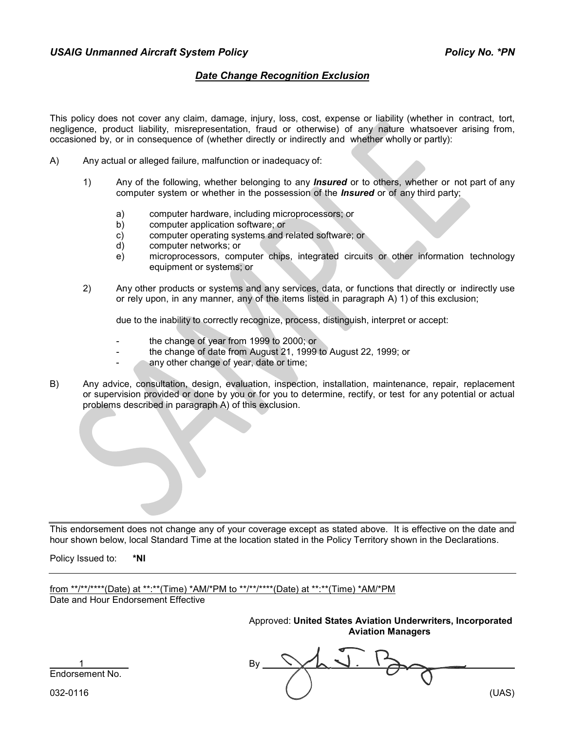## *Date Change Recognition Exclusion*

This policy does not cover any claim, damage, injury, loss, cost, expense or liability (whether in contract, tort, negligence, product liability, misrepresentation, fraud or otherwise) of any nature whatsoever arising from, occasioned by, or in consequence of (whether directly or indirectly and whether wholly or partly):

- A) Any actual or alleged failure, malfunction or inadequacy of:
	- 1) Any of the following, whether belonging to any *Insured* or to others, whether or not part of any computer system or whether in the possession of the *Insured* or of any third party;
		- a) computer hardware, including microprocessors; or
		- b) computer application software; or
		- c) computer operating systems and related software; or
		- d) computer networks; or
		- e) microprocessors, computer chips, integrated circuits or other information technology equipment or systems; or
	- 2) Any other products or systems and any services, data, or functions that directly or indirectly use or rely upon, in any manner, any of the items listed in paragraph A) 1) of this exclusion;

due to the inability to correctly recognize, process, distinguish, interpret or accept:

- the change of year from 1999 to 2000; or
- the change of date from August 21, 1999 to August 22, 1999; or
- any other change of year, date or time;
- B) Any advice, consultation, design, evaluation, inspection, installation, maintenance, repair, replacement or supervision provided or done by you or for you to determine, rectify, or test for any potential or actual problems described in paragraph A) of this exclusion.

This endorsement does not change any of your coverage except as stated above. It is effective on the date and hour shown below, local Standard Time at the location stated in the Policy Territory shown in the Declarations.

Policy Issued to: **\*NI**

from \*\*/\*\*/\*\*\*\*(Date) at \*\*:\*\*(Time) \*AM/\*PM to \*\*/\*\*/\*\*\*\*(Date) at \*\*:\*\*(Time) \*AM/\*PM Date and Hour Endorsement Effective

> Approved: **United States Aviation Underwriters, Incorporated Aviation Managers**

1 By Endorsement No.

032-0116 (UAS)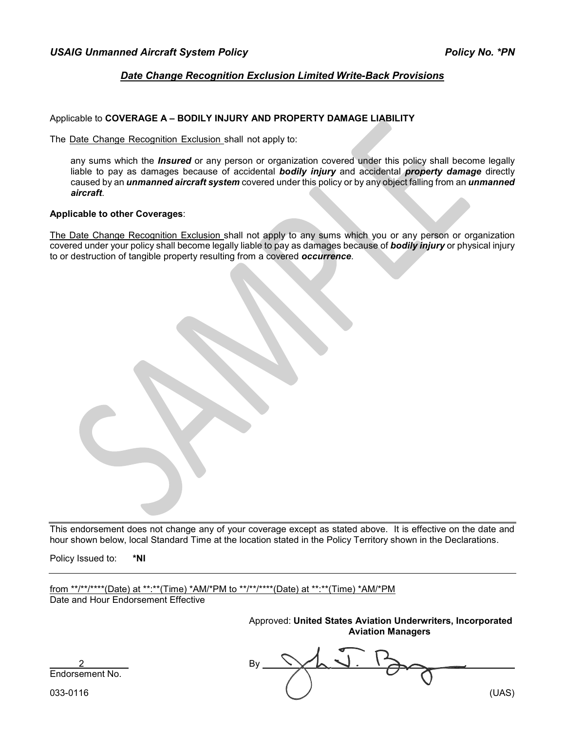# *Date Change Recognition Exclusion Limited Write-Back Provisions*

## Applicable to **COVERAGE A – BODILY INJURY AND PROPERTY DAMAGE LIABILITY**

The Date Change Recognition Exclusion shall not apply to:

any sums which the *Insured* or any person or organization covered under this policy shall become legally liable to pay as damages because of accidental *bodily injury* and accidental *property damage* directly caused by an *unmanned aircraft system* covered under this policy or by any object falling from an *unmanned aircraft*.

#### **Applicable to other Coverages**:

The Date Change Recognition Exclusion shall not apply to any sums which you or any person or organization covered under your policy shall become legally liable to pay as damages because of *bodily injury* or physical injury to or destruction of tangible property resulting from a covered *occurrence*.

This endorsement does not change any of your coverage except as stated above. It is effective on the date and hour shown below, local Standard Time at the location stated in the Policy Territory shown in the Declarations.

Policy Issued to: **\*NI**

from \*\*/\*\*/\*\*\*\*(Date) at \*\*:\*\*(Time) \*AM/\*PM to \*\*/\*\*/\*\*\*\*(Date) at \*\*:\*\*(Time) \*AM/\*PM Date and Hour Endorsement Effective

> Approved: **United States Aviation Underwriters, Incorporated Aviation Managers**

2 By Endorsement No.

033-0116 (UAS)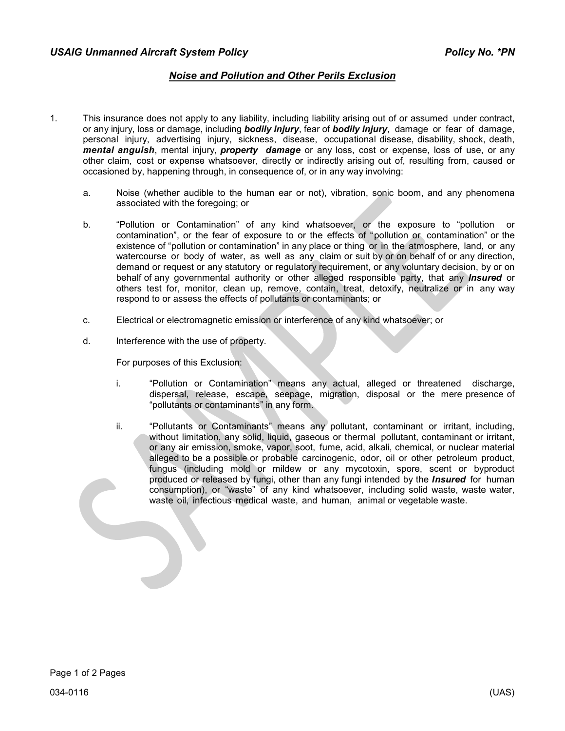# *Noise and Pollution and Other Perils Exclusion*

- 1. This insurance does not apply to any liability, including liability arising out of or assumed under contract, or any injury, loss or damage, including *bodily injury*, fear of *bodily injury*, damage or fear of damage, personal injury, advertising injury, sickness, disease, occupational disease, disability, shock, death, *mental anguish*, mental injury, *property damage* or any loss, cost or expense, loss of use, or any other claim, cost or expense whatsoever, directly or indirectly arising out of, resulting from, caused or occasioned by, happening through, in consequence of, or in any way involving:
	- a. Noise (whether audible to the human ear or not), vibration, sonic boom, and any phenomena associated with the foregoing; or
	- b. "Pollution or Contamination" of any kind whatsoever, or the exposure to "pollution or contamination", or the fear of exposure to or the effects of "pollution or contamination" or the existence of "pollution or contamination" in any place or thing or in the atmosphere, land, or any watercourse or body of water, as well as any claim or suit by or on behalf of or any direction, demand or request or any statutory or regulatory requirement, or any voluntary decision, by or on behalf of any governmental authority or other alleged responsible party, that any *Insured* or others test for, monitor, clean up, remove, contain, treat, detoxify, neutralize or in any way respond to or assess the effects of pollutants or contaminants; or
	- c. Electrical or electromagnetic emission or interference of any kind whatsoever; or
	- d. Interference with the use of property.

For purposes of this Exclusion:

- i. "Pollution or Contamination" means any actual, alleged or threatened discharge, dispersal, release, escape, seepage, migration, disposal or the mere presence of "pollutants or contaminants" in any form.
- ii. "Pollutants or Contaminants" means any pollutant, contaminant or irritant, including, without limitation, any solid, liquid, gaseous or thermal pollutant, contaminant or irritant, or any air emission, smoke, vapor, soot, fume, acid, alkali, chemical, or nuclear material alleged to be a possible or probable carcinogenic, odor, oil or other petroleum product, fungus (including mold or mildew or any mycotoxin, spore, scent or byproduct produced or released by fungi, other than any fungi intended by the *Insured* for human consumption), or "waste" of any kind whatsoever, including solid waste, waste water, waste oil, infectious medical waste, and human, animal or vegetable waste.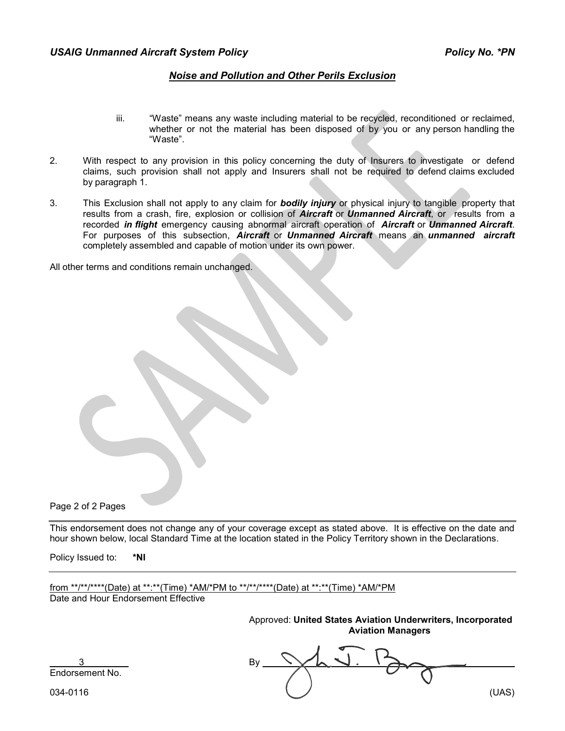## *Noise and Pollution and Other Perils Exclusion*

- iii. "Waste" means any waste including material to be recycled, reconditioned or reclaimed, whether or not the material has been disposed of by you or any person handling the "Waste".
- 2. With respect to any provision in this policy concerning the duty of Insurers to investigate or defend claims, such provision shall not apply and Insurers shall not be required to defend claims excluded by paragraph 1.
- 3. This Exclusion shall not apply to any claim for *bodily injury* or physical injury to tangible property that results from a crash, fire, explosion or collision of *Aircraft* or *Unmanned Aircraft*, or results from a recorded *in flight* emergency causing abnormal aircraft operation of *Aircraft* or *Unmanned Aircraft*. For purposes of this subsection, *Aircraft* or *Unmanned Aircraft* means an *unmanned aircraft* completely assembled and capable of motion under its own power.

All other terms and conditions remain unchanged.

Page 2 of 2 Pages

This endorsement does not change any of your coverage except as stated above. It is effective on the date and hour shown below, local Standard Time at the location stated in the Policy Territory shown in the Declarations.

Policy Issued to: **\*NI**

from \*\*/\*\*/\*\*\*\*(Date) at \*\*:\*\*(Time) \*AM/\*PM to \*\*/\*\*/\*\*\*\*(Date) at \*\*:\*\*(Time) \*AM/\*PM Date and Hour Endorsement Effective

> Approved: **United States Aviation Underwriters, Incorporated Aviation Managers**

3 By Endorsement No.

034-0116 (UAS)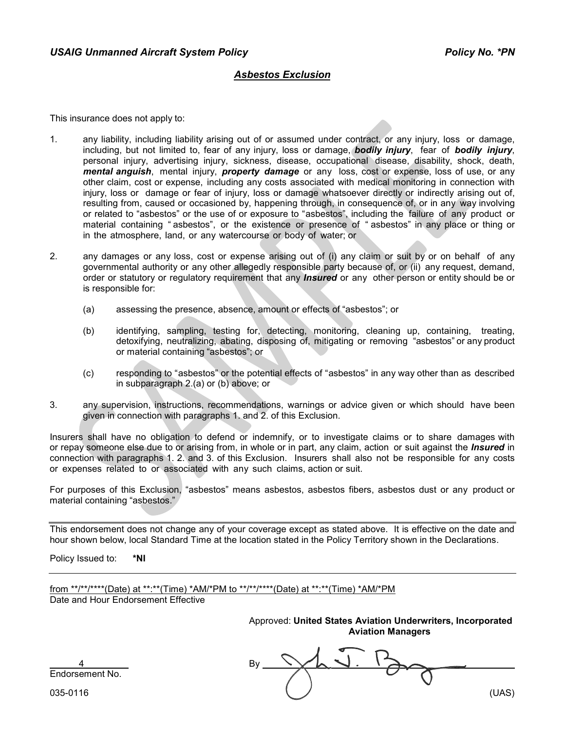## *Asbestos Exclusion*

This insurance does not apply to:

- 1. any liability, including liability arising out of or assumed under contract, or any injury, loss or damage, including, but not limited to, fear of any injury, loss or damage, *bodily injury*, fear of *bodily injury*, personal injury, advertising injury, sickness, disease, occupational disease, disability, shock, death, *mental anguish*, mental injury, *property damage* or any loss, cost or expense, loss of use, or any other claim, cost or expense, including any costs associated with medical monitoring in connection with injury, loss or damage or fear of injury, loss or damage whatsoever directly or indirectly arising out of, resulting from, caused or occasioned by, happening through, in consequence of, or in any way involving or related to "asbestos" or the use of or exposure to "asbestos", including the failure of any product or material containing " asbestos", or the existence or presence of " asbestos" in any place or thing or in the atmosphere, land, or any watercourse or body of water; or
- 2. any damages or any loss, cost or expense arising out of (i) any claim or suit by or on behalf of any governmental authority or any other allegedly responsible party because of, or (ii) any request, demand, order or statutory or regulatory requirement that any *Insured* or any other person or entity should be or is responsible for:
	- (a) assessing the presence, absence, amount or effects of "asbestos"; or
	- (b) identifying, sampling, testing for, detecting, monitoring, cleaning up, containing, treating, detoxifying, neutralizing, abating, disposing of, mitigating or removing "asbestos" or any product or material containing "asbestos"; or
	- (c) responding to "asbestos" or the potential effects of "asbestos" in any way other than as described in subparagraph 2.(a) or (b) above; or
- 3. any supervision, instructions, recommendations, warnings or advice given or which should have been given in connection with paragraphs 1. and 2. of this Exclusion.

Insurers shall have no obligation to defend or indemnify, or to investigate claims or to share damages with or repay someone else due to or arising from, in whole or in part, any claim, action or suit against the *Insured* in connection with paragraphs 1. 2. and 3. of this Exclusion. Insurers shall also not be responsible for any costs or expenses related to or associated with any such claims, action or suit.

For purposes of this Exclusion, "asbestos" means asbestos, asbestos fibers, asbestos dust or any product or material containing "asbestos."

This endorsement does not change any of your coverage except as stated above. It is effective on the date and hour shown below, local Standard Time at the location stated in the Policy Territory shown in the Declarations.

Policy Issued to: **\*NI**

from \*\*/\*\*/\*\*\*\*(Date) at \*\*:\*\*(Time) \*AM/\*PM to \*\*/\*\*/\*\*\*\*(Date) at \*\*:\*\*(Time) \*AM/\*PM Date and Hour Endorsement Effective

> Approved: **United States Aviation Underwriters, Incorporated Aviation Managers**

4 By Endorsement No.

035-0116 (UAS)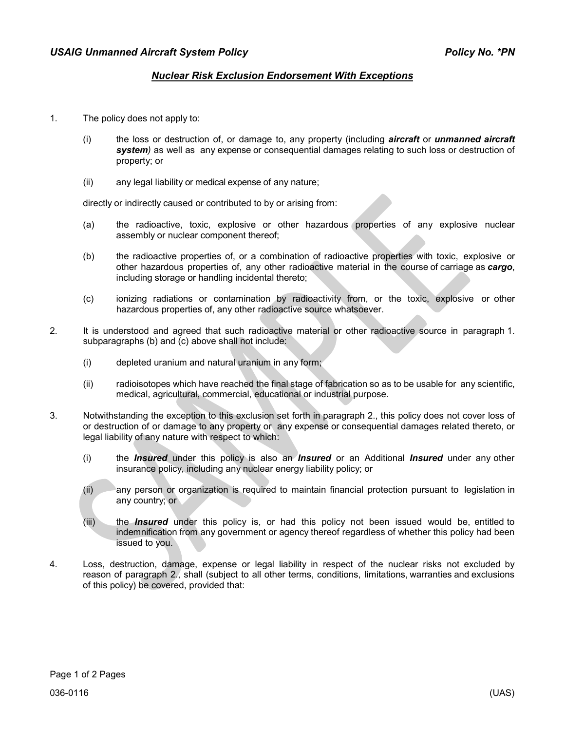# *Nuclear Risk Exclusion Endorsement With Exceptions*

- 1. The policy does not apply to:
	- (i) the loss or destruction of, or damage to, any property (including *aircraft* or *unmanned aircraft system)* as well as any expense or consequential damages relating to such loss or destruction of property; or
	- (ii) any legal liability or medical expense of any nature;

directly or indirectly caused or contributed to by or arising from:

- (a) the radioactive, toxic, explosive or other hazardous properties of any explosive nuclear assembly or nuclear component thereof;
- (b) the radioactive properties of, or a combination of radioactive properties with toxic, explosive or other hazardous properties of, any other radioactive material in the course of carriage as *cargo*, including storage or handling incidental thereto;
- (c) ionizing radiations or contamination by radioactivity from, or the toxic, explosive or other hazardous properties of, any other radioactive source whatsoever.
- 2. It is understood and agreed that such radioactive material or other radioactive source in paragraph 1. subparagraphs (b) and (c) above shall not include:
	- (i) depleted uranium and natural uranium in any form;
	- (ii) radioisotopes which have reached the final stage of fabrication so as to be usable for any scientific, medical, agricultural, commercial, educational or industrial purpose.
- 3. Notwithstanding the exception to this exclusion set forth in paragraph 2., this policy does not cover loss of or destruction of or damage to any property or any expense or consequential damages related thereto, or legal liability of any nature with respect to which:
	- (i) the *Insured* under this policy is also an *Insured* or an Additional *Insured* under any other insurance policy, including any nuclear energy liability policy; or
	- (ii) any person or organization is required to maintain financial protection pursuant to legislation in any country; or
	- (iii) the *Insured* under this policy is, or had this policy not been issued would be, entitled to indemnification from any government or agency thereof regardless of whether this policy had been issued to you.
- 4. Loss, destruction, damage, expense or legal liability in respect of the nuclear risks not excluded by reason of paragraph 2., shall (subject to all other terms, conditions, limitations, warranties and exclusions of this policy) be covered, provided that: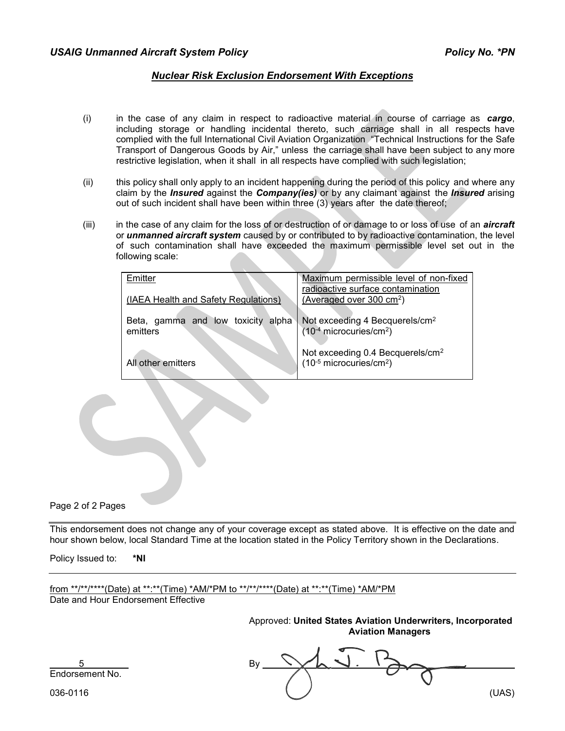# *Nuclear Risk Exclusion Endorsement With Exceptions*

- (i) in the case of any claim in respect to radioactive material in course of carriage as *cargo*, including storage or handling incidental thereto, such carriage shall in all respects have complied with the full International Civil Aviation Organization "Technical Instructions for the Safe Transport of Dangerous Goods by Air," unless the carriage shall have been subject to any more restrictive legislation, when it shall in all respects have complied with such legislation;
- (ii) this policy shall only apply to an incident happening during the period of this policy and where any claim by the *Insured* against the *Company(ies)* or by any claimant against the *Insured* arising out of such incident shall have been within three (3) years after the date thereof;
- (iii) in the case of any claim for the loss of or destruction of or damage to or loss of use of an *aircraft*  or *unmanned aircraft system* caused by or contributed to by radioactive contamination, the level of such contamination shall have exceeded the maximum permissible level set out in the following scale:

| Emitter                              | Maximum permissible level of non-fixed       |
|--------------------------------------|----------------------------------------------|
|                                      | radioactive surface contamination            |
| (IAEA Health and Safety Regulations) | (Averaged over 300 cm <sup>2</sup> )         |
|                                      |                                              |
| Beta, gamma and low toxicity alpha   | Not exceeding 4 Becquerels/cm <sup>2</sup>   |
| emitters                             | $(10^{-4}$ microcuries/cm <sup>2</sup> )     |
|                                      |                                              |
|                                      | Not exceeding 0.4 Becquerels/cm <sup>2</sup> |
| All other emitters                   | $(10^{-5}$ microcuries/cm <sup>2</sup> )     |
|                                      |                                              |

Page 2 of 2 Pages

This endorsement does not change any of your coverage except as stated above. It is effective on the date and hour shown below, local Standard Time at the location stated in the Policy Territory shown in the Declarations.

Policy Issued to: **\*NI**

from \*\*/\*\*/\*\*\*\*(Date) at \*\*:\*\*(Time) \*AM/\*PM to \*\*/\*\*/\*\*\*\*(Date) at \*\*:\*\*(Time) \*AM/\*PM Date and Hour Endorsement Effective

> Approved: **United States Aviation Underwriters, Incorporated Aviation Managers**

5 By Endorsement No.

036-0116 (UAS)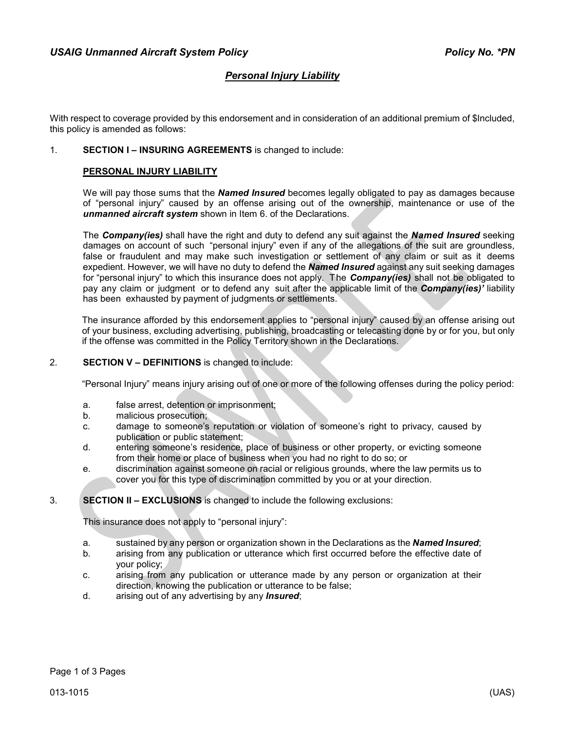# *Personal Injury Liability*

With respect to coverage provided by this endorsement and in consideration of an additional premium of \$Included, this policy is amended as follows:

#### 1. **SECTION I – INSURING AGREEMENTS** is changed to include:

#### **PERSONAL INJURY LIABILITY**

We will pay those sums that the *Named Insured* becomes legally obligated to pay as damages because of "personal injury" caused by an offense arising out of the ownership, maintenance or use of the *unmanned aircraft system* shown in Item 6. of the Declarations.

The *Company(ies)* shall have the right and duty to defend any suit against the *Named Insured* seeking damages on account of such "personal injury" even if any of the allegations of the suit are groundless, false or fraudulent and may make such investigation or settlement of any claim or suit as it deems expedient. However, we will have no duty to defend the *Named Insured* against any suit seeking damages for "personal injury" to which this insurance does not apply. The *Company(ies)* shall not be obligated to pay any claim or judgment or to defend any suit after the applicable limit of the *Company(ies)'* liability has been exhausted by payment of judgments or settlements.

The insurance afforded by this endorsement applies to "personal injury" caused by an offense arising out of your business, excluding advertising, publishing, broadcasting or telecasting done by or for you, but only if the offense was committed in the Policy Territory shown in the Declarations.

#### 2. **SECTION V – DEFINITIONS** is changed to include:

"Personal Injury" means injury arising out of one or more of the following offenses during the policy period:

- a. false arrest, detention or imprisonment;
- b. malicious prosecution;
- c. damage to someone's reputation or violation of someone's right to privacy, caused by publication or public statement;
- d. entering someone's residence, place of business or other property, or evicting someone from their home or place of business when you had no right to do so; or
- e. discrimination against someone on racial or religious grounds, where the law permits us to cover you for this type of discrimination committed by you or at your direction.

#### 3. **SECTION II – EXCLUSIONS** is changed to include the following exclusions:

This insurance does not apply to "personal injury":

- a. sustained by any person or organization shown in the Declarations as the *Named Insured*;
- b. arising from any publication or utterance which first occurred before the effective date of your policy;
- c. arising from any publication or utterance made by any person or organization at their direction, knowing the publication or utterance to be false;
- d. arising out of any advertising by any *Insured*;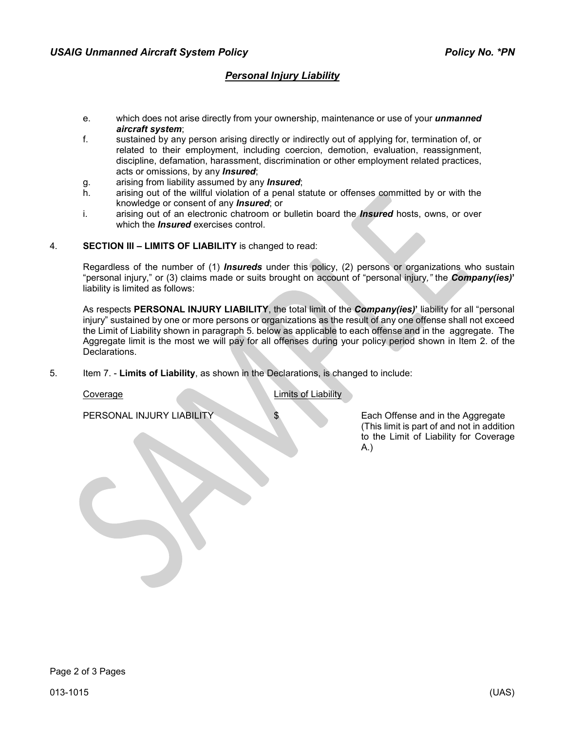# *Personal Injury Liability*

- e. which does not arise directly from your ownership, maintenance or use of your *unmanned aircraft system*;
- f. sustained by any person arising directly or indirectly out of applying for, termination of, or related to their employment, including coercion, demotion, evaluation, reassignment, discipline, defamation, harassment, discrimination or other employment related practices, acts or omissions, by any *Insured*;
- g. arising from liability assumed by any *Insured*;
- arising out of the willful violation of a penal statute or offenses committed by or with the knowledge or consent of any *Insured*; or
- i. arising out of an electronic chatroom or bulletin board the *Insured* hosts, owns, or over which the *Insured* exercises control.
- 4. **SECTION III – LIMITS OF LIABILITY** is changed to read:

Regardless of the number of (1) *Insureds* under this policy, (2) persons or organizations who sustain "personal injury," or (3) claims made or suits brought on account of "personal injury*,"* the *Company(ies)***'** liability is limited as follows:

As respects **PERSONAL INJURY LIABILITY**, the total limit of the *Company(ies)***'** liability for all "personal injury" sustained by one or more persons or organizations as the result of any one offense shall not exceed the Limit of Liability shown in paragraph 5. below as applicable to each offense and in the aggregate. The Aggregate limit is the most we will pay for all offenses during your policy period shown in Item 2. of the Declarations.

5. Item 7. - **Limits of Liability**, as shown in the Declarations, is changed to include:

**Coverage Coverage Limits of Limits of Limits of Limits of Limits of Limits of Limits of Limits of Limits of Limits of Limits of Limits of Limits of Limits of Limits of Limits of Limits of Limits of Limits of Limits of Lim** 

PERSONAL INJURY LIABILITY **\$** Each Offense and in the Aggregate (This limit is part of and not in addition to the Limit of Liability for Coverage A.)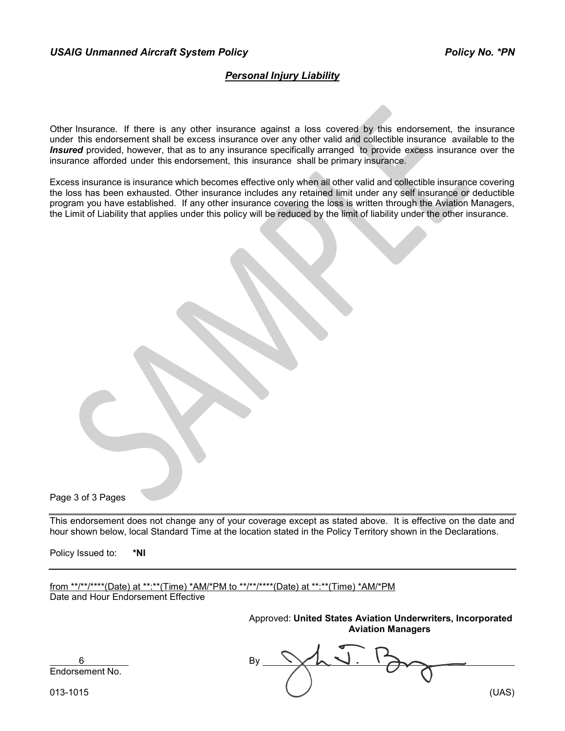# *Personal Injury Liability*

Other Insurance. If there is any other insurance against a loss covered by this endorsement, the insurance under this endorsement shall be excess insurance over any other valid and collectible insurance available to the *Insured* provided, however, that as to any insurance specifically arranged to provide excess insurance over the insurance afforded under this endorsement, this insurance shall be primary insurance.

Excess insurance is insurance which becomes effective only when all other valid and collectible insurance covering the loss has been exhausted. Other insurance includes any retained limit under any self insurance or deductible program you have established. If any other insurance covering the loss is written through the Aviation Managers, the Limit of Liability that applies under this policy will be reduced by the limit of liability under the other insurance.

Page 3 of 3 Pages

This endorsement does not change any of your coverage except as stated above. It is effective on the date and hour shown below, local Standard Time at the location stated in the Policy Territory shown in the Declarations.

Policy Issued to: **\*NI**

from \*\*/\*\*/\*\*\*\*(Date) at \*\*:\*\*(Time) \*AM/\*PM to \*\*/\*\*/\*\*\*\*(Date) at \*\*:\*\*(Time) \*AM/\*PM Date and Hour Endorsement Effective

> Approved: **United States Aviation Underwriters, Incorporated Aviation Managers**

6 By Endorsement No.

013-1015 (UAS)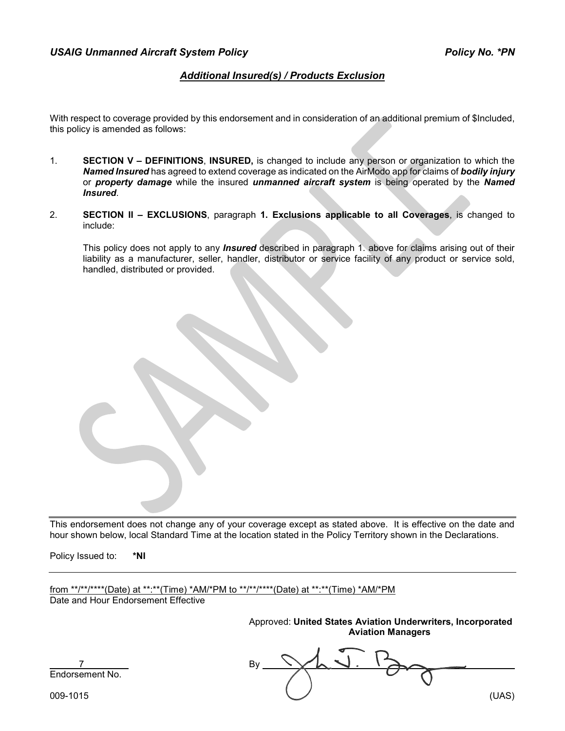# *Additional Insured(s) / Products Exclusion*

With respect to coverage provided by this endorsement and in consideration of an additional premium of \$Included, this policy is amended as follows:

- 1. **SECTION V – DEFINITIONS**, **INSURED,** is changed to include any person or organization to which the *Named Insured* has agreed to extend coverage as indicated on the AirModo app for claims of *bodily injury* or *property damage* while the insured *unmanned aircraft system* is being operated by the *Named Insured*.
- 2. **SECTION II – EXCLUSIONS**, paragraph **1. Exclusions applicable to all Coverages**, is changed to include:

This policy does not apply to any *Insured* described in paragraph 1. above for claims arising out of their liability as a manufacturer, seller, handler, distributor or service facility of any product or service sold, handled, distributed or provided.

This endorsement does not change any of your coverage except as stated above. It is effective on the date and hour shown below, local Standard Time at the location stated in the Policy Territory shown in the Declarations.

Policy Issued to: **\*NI**

from \*\*/\*\*/\*\*\*\*(Date) at \*\*:\*\*(Time) \*AM/\*PM to \*\*/\*\*/\*\*\*\*(Date) at \*\*:\*\*(Time) \*AM/\*PM Date and Hour Endorsement Effective

> Approved: **United States Aviation Underwriters, Incorporated Aviation Managers**

7 By Endorsement No.

009-1015 (UAS)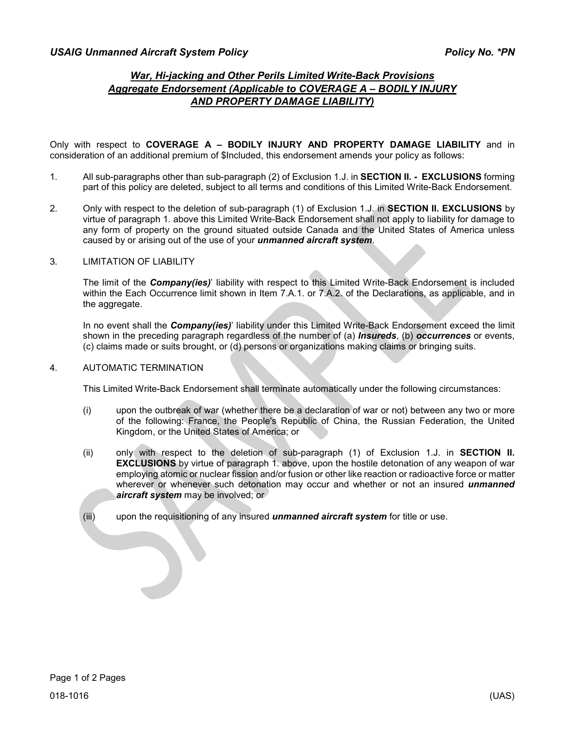# *War, Hi-jacking and Other Perils Limited Write-Back Provisions Aggregate Endorsement (Applicable to COVERAGE A – BODILY INJURY AND PROPERTY DAMAGE LIABILITY)*

Only with respect to **COVERAGE A – BODILY INJURY AND PROPERTY DAMAGE LIABILITY** and in consideration of an additional premium of \$Included, this endorsement amends your policy as follows:

- 1. All sub-paragraphs other than sub-paragraph (2) of Exclusion 1.J. in **SECTION II. EXCLUSIONS** forming part of this policy are deleted, subject to all terms and conditions of this Limited Write-Back Endorsement.
- 2. Only with respect to the deletion of sub-paragraph (1) of Exclusion 1.J. in **SECTION II. EXCLUSIONS** by virtue of paragraph 1. above this Limited Write-Back Endorsement shall not apply to liability for damage to any form of property on the ground situated outside Canada and the United States of America unless caused by or arising out of the use of your *unmanned aircraft system*.

## 3. LIMITATION OF LIABILITY

The limit of the *Company(ies)*' liability with respect to this Limited Write-Back Endorsement is included within the Each Occurrence limit shown in Item 7.A.1. or 7.A.2. of the Declarations, as applicable, and in the aggregate.

In no event shall the *Company(ies)*' liability under this Limited Write-Back Endorsement exceed the limit shown in the preceding paragraph regardless of the number of (a) *Insureds*, (b) *occurrences* or events, (c) claims made or suits brought, or (d) persons or organizations making claims or bringing suits.

#### 4. AUTOMATIC TERMINATION

This Limited Write-Back Endorsement shall terminate automatically under the following circumstances:

- (i) upon the outbreak of war (whether there be a declaration of war or not) between any two or more of the following: France, the People's Republic of China, the Russian Federation, the United Kingdom, or the United States of America; or
- (ii) only with respect to the deletion of sub-paragraph (1) of Exclusion 1.J. in **SECTION II. EXCLUSIONS** by virtue of paragraph 1. above, upon the hostile detonation of any weapon of war employing atomic or nuclear fission and/or fusion or other like reaction or radioactive force or matter wherever or whenever such detonation may occur and whether or not an insured *unmanned aircraft system* may be involved; or
- (iii) upon the requisitioning of any insured *unmanned aircraft system* for title or use.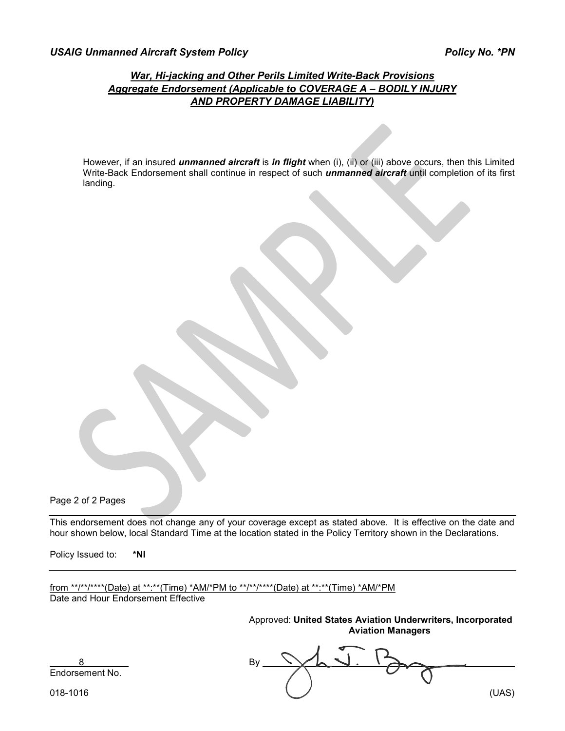# *War, Hi-jacking and Other Perils Limited Write-Back Provisions Aggregate Endorsement (Applicable to COVERAGE A – BODILY INJURY AND PROPERTY DAMAGE LIABILITY)*

However, if an insured *unmanned aircraft* is *in flight* when (i), (ii) or (iii) above occurs, then this Limited Write-Back Endorsement shall continue in respect of such *unmanned aircraft* until completion of its first landing.

Page 2 of 2 Pages

This endorsement does not change any of your coverage except as stated above. It is effective on the date and hour shown below, local Standard Time at the location stated in the Policy Territory shown in the Declarations.

Policy Issued to: **\*NI**

from \*\*/\*\*/\*\*\*\*(Date) at \*\*:\*\*(Time) \*AM/\*PM to \*\*/\*\*/\*\*\*\*(Date) at \*\*:\*\*(Time) \*AM/\*PM Date and Hour Endorsement Effective

> Approved: **United States Aviation Underwriters, Incorporated Aviation Managers**

8 By Endorsement No.

018-1016 (UAS)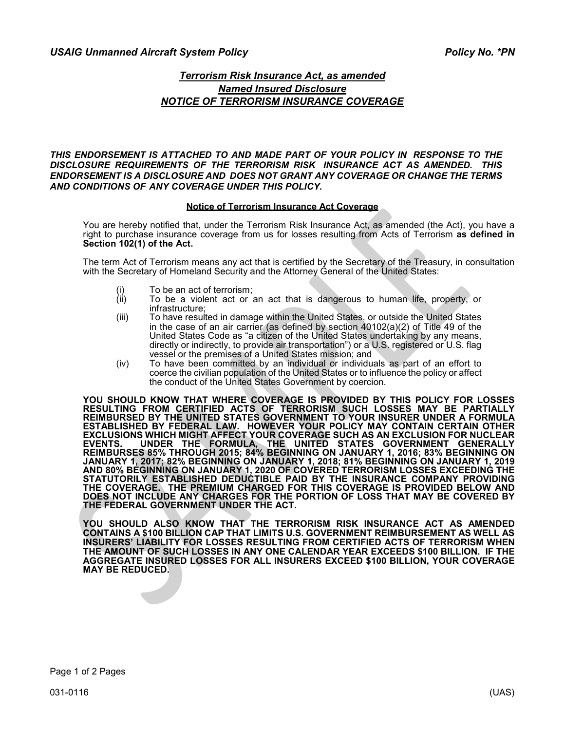## *USAIG Unmanned Aircraft System Policy Policy No. \*PN*

# *Terrorism Risk Insurance Act, as amended Named Insured Disclosure NOTICE OF TERRORISM INSURANCE COVERAGE*

#### *THIS ENDORSEMENT IS ATTACHED TO AND MADE PART OF YOUR POLICY IN RESPONSE TO THE DISCLOSURE REQUIREMENTS OF THE TERRORISM RISK INSURANCE ACT AS AMENDED. THIS ENDORSEMENT IS A DISCLOSURE AND DOES NOT GRANT ANY COVERAGE OR CHANGE THE TERMS AND CONDITIONS OF ANY COVERAGE UNDER THIS POLICY.*

#### **Notice of Terrorism Insurance Act Coverage**

You are hereby notified that, under the Terrorism Risk Insurance Act, as amended (the Act), you have a right to purchase insurance coverage from us for losses resulting from Acts of Terrorism **as defined in Section 102(1) of the Act.**

The term Act of Terrorism means any act that is certified by the Secretary of the Treasury, in consultation with the Secretary of Homeland Security and the Attorney General of the United States:

- 
- (i) To be an act of terrorism;<br>(ii) To be a violent act or a To be a violent act or an act that is dangerous to human life, property, or infrastructure;
- (iii) To have resulted in damage within the United States, or outside the United States in the case of an air carrier (as defined by section 40102(a)(2) of Title 49 of the United States Code as "a citizen of the United States undertaking by any means, directly or indirectly, to provide air transportation") or a U.S. registered or U.S. flag vessel or the premises of a United States mission; and
- (iv) To have been committed by an individual or individuals as part of an effort to coerce the civilian population of the United States or to influence the policy or affect the conduct of the United States Government by coercion.

**YOU SHOULD KNOW THAT WHERE COVERAGE IS PROVIDED BY THIS POLICY FOR LOSSES RESULTING FROM CERTIFIED ACTS OF TERRORISM SUCH LOSSES MAY BE PARTIALLY REIMBURSED BY THE UNITED STATES GOVERNMENT TO YOUR INSURER UNDER A FORMULA ESTABLISHED BY FEDERAL LAW. HOWEVER YOUR POLICY MAY CONTAIN CERTAIN OTHER EXCLUSIONS WHICH MIGHT AFFECT YOUR COVERAGE SUCH AS AN EXCLUSION FOR NUCLEAR EVENTS. UNDER THE FORMULA, THE UNITED STATES GOVERNMENT GENERALLY REIMBURSES 85% THROUGH 2015; 84% BEGINNING ON JANUARY 1, 2016; 83% BEGINNING ON JANUARY 1, 2017; 82% BEGINNING ON JANUARY 1, 2018; 81% BEGINNING ON JANUARY 1, 2019 AND 80% BEGINNING ON JANUARY 1, 2020 OF COVERED TERRORISM LOSSES EXCEEDING THE STATUTORILY ESTABLISHED DEDUCTIBLE PAID BY THE INSURANCE COMPANY PROVIDING THE COVERAGE. THE PREMIUM CHARGED FOR THIS COVERAGE IS PROVIDED BELOW AND DOES NOT INCLUDE ANY CHARGES FOR THE PORTION OF LOSS THAT MAY BE COVERED BY THE FEDERAL GOVERNMENT UNDER THE ACT.**

**YOU SHOULD ALSO KNOW THAT THE TERRORISM RISK INSURANCE ACT AS AMENDED CONTAINS A \$100 BILLION CAP THAT LIMITS U.S. GOVERNMENT REIMBURSEMENT AS WELL AS INSURERS' LIABILITY FOR LOSSES RESULTING FROM CERTIFIED ACTS OF TERRORISM WHEN THE AMOUNT OF SUCH LOSSES IN ANY ONE CALENDAR YEAR EXCEEDS \$100 BILLION. IF THE AGGREGATE INSURED LOSSES FOR ALL INSURERS EXCEED \$100 BILLION, YOUR COVERAGE MAY BE REDUCED.**

Page 1 of 2 Pages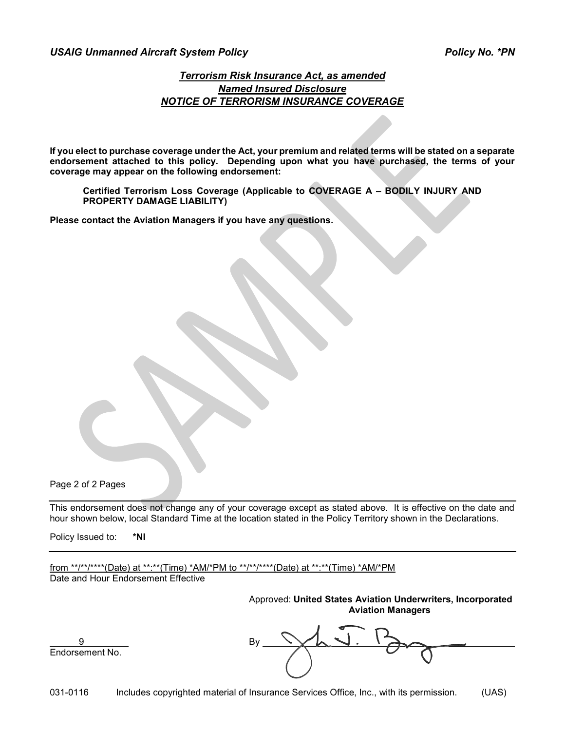## *USAIG Unmanned Aircraft System Policy Policy No. \*PN*

# *Terrorism Risk Insurance Act, as amended Named Insured Disclosure NOTICE OF TERRORISM INSURANCE COVERAGE*

**If you elect to purchase coverage under the Act, your premium and related terms will be stated on a separate endorsement attached to this policy. Depending upon what you have purchased, the terms of your coverage may appear on the following endorsement:**

**Certified Terrorism Loss Coverage (Applicable to COVERAGE A – BODILY INJURY AND PROPERTY DAMAGE LIABILITY)**

**Please contact the Aviation Managers if you have any questions.**

Page 2 of 2 Pages

This endorsement does not change any of your coverage except as stated above. It is effective on the date and hour shown below, local Standard Time at the location stated in the Policy Territory shown in the Declarations.

Policy Issued to: **\*NI**

from \*\*/\*\*/\*\*\*\*(Date) at \*\*:\*\*(Time) \*AM/\*PM to \*\*/\*\*/\*\*\*\*(Date) at \*\*:\*\*(Time) \*AM/\*PM Date and Hour Endorsement Effective

> Approved: **United States Aviation Underwriters, Incorporated Aviation Managers**

9 By Endorsement No.